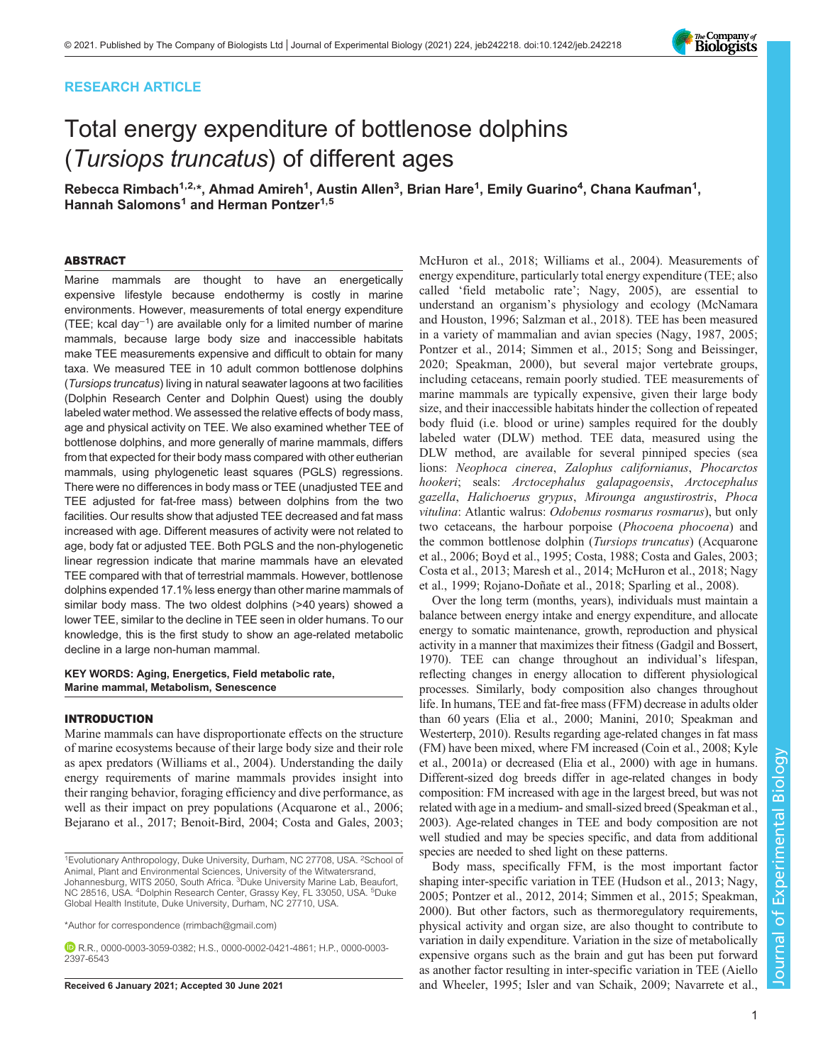# RESEARCH ARTICLE

# Total energy expenditure of bottlenose dolphins (Tursiops truncatus) of different ages

Rebecca Rimbach $^{1,2,*}$ , Ahmad Amireh $^{1}$ , Austin Allen $^{3}$ , Brian Hare $^{1}$ , Emily Guarino $^{4}$ , Chana Kaufman $^{1}$ , Hannah Salomons<sup>1</sup> and Herman Pontzer<sup>1,5</sup>

#### ABSTRACT

Marine mammals are thought to have an energetically expensive lifestyle because endothermy is costly in marine environments. However, measurements of total energy expenditure (TEE; kcal day<sup>−1</sup>) are available only for a limited number of marine mammals, because large body size and inaccessible habitats make TEE measurements expensive and difficult to obtain for many taxa. We measured TEE in 10 adult common bottlenose dolphins (Tursiops truncatus) living in natural seawater lagoons at two facilities (Dolphin Research Center and Dolphin Quest) using the doubly labeled water method. We assessed the relative effects of body mass, age and physical activity on TEE. We also examined whether TEE of bottlenose dolphins, and more generally of marine mammals, differs from that expected for their body mass compared with other eutherian mammals, using phylogenetic least squares (PGLS) regressions. There were no differences in body mass or TEE (unadjusted TEE and TEE adjusted for fat-free mass) between dolphins from the two facilities. Our results show that adjusted TEE decreased and fat mass increased with age. Different measures of activity were not related to age, body fat or adjusted TEE. Both PGLS and the non-phylogenetic linear regression indicate that marine mammals have an elevated TEE compared with that of terrestrial mammals. However, bottlenose dolphins expended 17.1% less energy than other marine mammals of similar body mass. The two oldest dolphins (>40 years) showed a lower TEE, similar to the decline in TEE seen in older humans. To our knowledge, this is the first study to show an age-related metabolic decline in a large non-human mammal.

## KEY WORDS: Aging, Energetics, Field metabolic rate, Marine mammal, Metabolism, Senescence

#### INTRODUCTION

Marine mammals can have disproportionate effects on the structure of marine ecosystems because of their large body size and their role as apex predators ([Williams et al., 2004](#page-11-0)). Understanding the daily energy requirements of marine mammals provides insight into their ranging behavior, foraging efficiency and dive performance, as well as their impact on prey populations [\(Acquarone et al., 2006](#page-8-0); [Bejarano et al., 2017; Benoit-Bird, 2004](#page-8-0); [Costa and Gales, 2003](#page-8-0);

\*Author for correspondence [\(rrimbach@gmail.com\)](mailto:rrimbach@gmail.com)

R.R., [0000-0003-3059-0382;](http://orcid.org/0000-0003-3059-0382) H.S., [0000-0002-0421-4861](http://orcid.org/0000-0002-0421-4861); H.P., [0000-0003-](http://orcid.org/0000-0003-2397-6543) [2397-6543](http://orcid.org/0000-0003-2397-6543)

[McHuron et al., 2018;](#page-9-0) [Williams et al., 2004\)](#page-11-0). Measurements of energy expenditure, particularly total energy expenditure (TEE; also called 'field metabolic rate'; [Nagy, 2005](#page-9-0)), are essential to understand an organism's physiology and ecology ([McNamara](#page-9-0) [and Houston, 1996;](#page-9-0) [Salzman et al., 2018\)](#page-10-0). TEE has been measured in a variety of mammalian and avian species ([Nagy, 1987, 2005](#page-9-0); [Pontzer et al., 2014; Simmen et al., 2015; Song and Beissinger,](#page-10-0) [2020; Speakman, 2000\)](#page-10-0), but several major vertebrate groups, including cetaceans, remain poorly studied. TEE measurements of marine mammals are typically expensive, given their large body size, and their inaccessible habitats hinder the collection of repeated body fluid (i.e. blood or urine) samples required for the doubly labeled water (DLW) method. TEE data, measured using the DLW method, are available for several pinniped species (sea lions: Neophoca cinerea, Zalophus californianus, Phocarctos hookeri; seals: Arctocephalus galapagoensis, Arctocephalus gazella, Halichoerus grypus, Mirounga angustirostris, Phoca vitulina: Atlantic walrus: Odobenus rosmarus rosmarus), but only two cetaceans, the harbour porpoise (Phocoena phocoena) and the common bottlenose dolphin (Tursiops truncatus) ([Acquarone](#page-8-0) [et al., 2006; Boyd et al., 1995; Costa, 1988](#page-8-0); [Costa and Gales, 2003](#page-8-0); [Costa et al., 2013;](#page-8-0) [Maresh et al., 2014; McHuron et al., 2018; Nagy](#page-9-0) [et al., 1999;](#page-9-0) [Rojano-Doñate et al., 2018](#page-10-0); [Sparling et al., 2008\)](#page-10-0).

Over the long term (months, years), individuals must maintain a balance between energy intake and energy expenditure, and allocate energy to somatic maintenance, growth, reproduction and physical activity in a manner that maximizes their fitness [\(Gadgil and Bossert,](#page-9-0) [1970\)](#page-9-0). TEE can change throughout an individual's lifespan, reflecting changes in energy allocation to different physiological processes. Similarly, body composition also changes throughout life. In humans, TEE and fat-free mass (FFM) decrease in adults older than 60 years [\(Elia et al., 2000; Manini, 2010](#page-9-0); [Speakman and](#page-10-0) [Westerterp, 2010\)](#page-10-0). Results regarding age-related changes in fat mass (FM) have been mixed, where FM increased [\(Coin et al., 2008](#page-8-0); [Kyle](#page-9-0) [et al., 2001a](#page-9-0)) or decreased ([Elia et al., 2000\)](#page-9-0) with age in humans. Different-sized dog breeds differ in age-related changes in body composition: FM increased with age in the largest breed, but was not related with age in a medium- and small-sized breed [\(Speakman et al.,](#page-10-0) [2003\)](#page-10-0). Age-related changes in TEE and body composition are not well studied and may be species specific, and data from additional species are needed to shed light on these patterns.

Body mass, specifically FFM, is the most important factor shaping inter-specific variation in TEE ([Hudson et al., 2013](#page-9-0); [Nagy,](#page-9-0) [2005;](#page-9-0) [Pontzer et al., 2012](#page-10-0), [2014; Simmen et al., 2015; Speakman,](#page-10-0) [2000\)](#page-10-0). But other factors, such as thermoregulatory requirements, physical activity and organ size, are also thought to contribute to variation in daily expenditure. Variation in the size of metabolically expensive organs such as the brain and gut has been put forward as another factor resulting in inter-specific variation in TEE ([Aiello](#page-8-0) Received 6 January 2021; Accepted 30 June 2021 [and Wheeler, 1995;](#page-8-0) [Isler and van Schaik, 2009](#page-9-0); [Navarrete et al.,](#page-9-0)

1



<sup>&</sup>lt;sup>1</sup>Evolutionary Anthropology, Duke University, Durham, NC 27708, USA. <sup>2</sup>School of Animal, Plant and Environmental Sciences, University of the Witwatersrand, Johannesburg, WITS 2050, South Africa. <sup>3</sup>Duke University Marine Lab, Beaufort, NC 28516, USA. <sup>4</sup>Dolphin Research Center, Grassy Key, FL 33050, USA. <sup>5</sup>Duke Global Health Institute, Duke University, Durham, NC 27710, USA.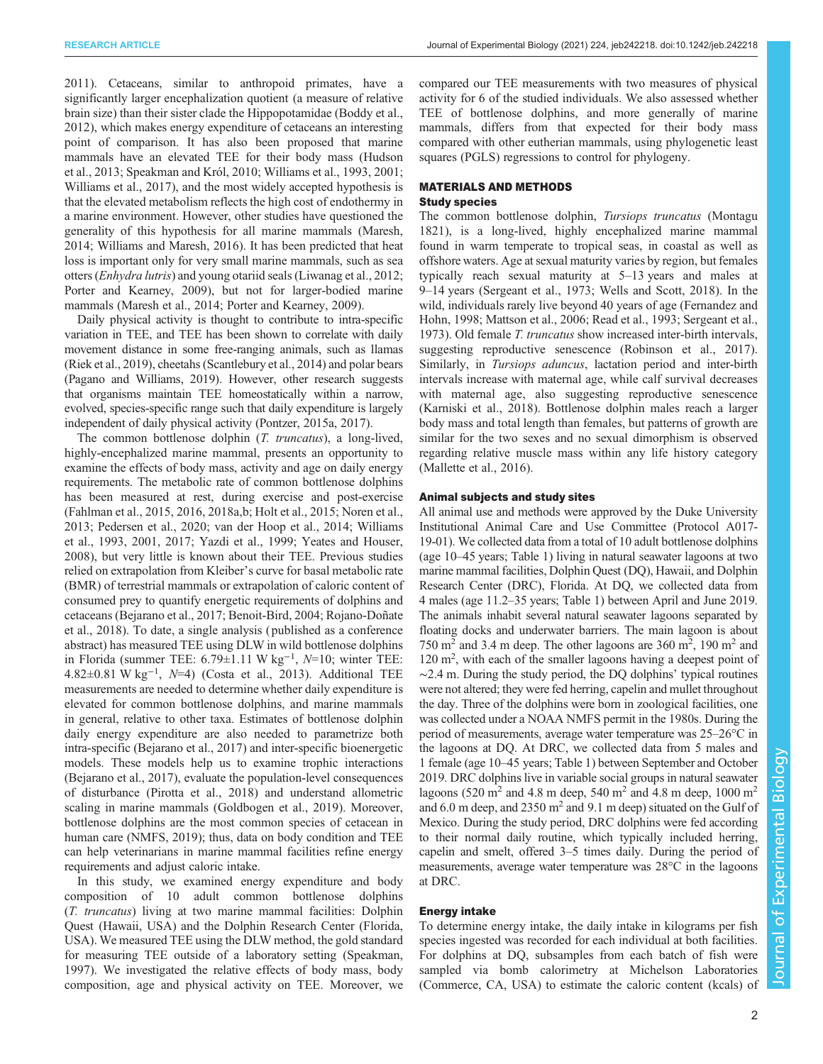[2011](#page-9-0)). Cetaceans, similar to anthropoid primates, have a significantly larger encephalization quotient (a measure of relative brain size) than their sister clade the Hippopotamidae [\(Boddy et al.,](#page-8-0) [2012](#page-8-0)), which makes energy expenditure of cetaceans an interesting point of comparison. It has also been proposed that marine mammals have an elevated TEE for their body mass [\(Hudson](#page-9-0) [et al., 2013](#page-9-0); [Speakman and Król, 2010; Williams et al., 1993, 2001](#page-10-0); [Williams et al., 2017\)](#page-11-0), and the most widely accepted hypothesis is that the elevated metabolism reflects the high cost of endothermy in a marine environment. However, other studies have questioned the generality of this hypothesis for all marine mammals ([Maresh,](#page-9-0) [2014](#page-9-0); [Williams and Maresh, 2016\)](#page-10-0). It has been predicted that heat loss is important only for very small marine mammals, such as sea otters (Enhydra lutris) and young otariid seals [\(Liwanag et al., 2012](#page-9-0); [Porter and Kearney, 2009](#page-10-0)), but not for larger-bodied marine mammals [\(Maresh et al., 2014;](#page-9-0) [Porter and Kearney, 2009\)](#page-10-0).

Daily physical activity is thought to contribute to intra-specific variation in TEE, and TEE has been shown to correlate with daily movement distance in some free-ranging animals, such as llamas [\(Riek et al., 2019](#page-10-0)), cheetahs ([Scantlebury et al., 2014\)](#page-10-0) and polar bears [\(Pagano and Williams, 2019](#page-9-0)). However, other research suggests that organisms maintain TEE homeostatically within a narrow, evolved, species-specific range such that daily expenditure is largely independent of daily physical activity [\(Pontzer, 2015a, 2017](#page-10-0)).

The common bottlenose dolphin (*T. truncatus*), a long-lived, highly-encephalized marine mammal, presents an opportunity to examine the effects of body mass, activity and age on daily energy requirements. The metabolic rate of common bottlenose dolphins has been measured at rest, during exercise and post-exercise [\(Fahlman et al., 2015](#page-9-0), [2016, 2018a,b](#page-9-0); [Holt et al., 2015; Noren et al.,](#page-9-0) [2013](#page-9-0); [Pedersen et al., 2020;](#page-9-0) [van der Hoop et al., 2014; Williams](#page-10-0) [et al., 1993](#page-10-0), [2001](#page-10-0), [2017](#page-11-0); [Yazdi et al., 1999](#page-11-0); [Yeates and Houser,](#page-11-0) [2008](#page-11-0)), but very little is known about their TEE. Previous studies relied on extrapolation from Kleiber's curve for basal metabolic rate (BMR) of terrestrial mammals or extrapolation of caloric content of consumed prey to quantify energetic requirements of dolphins and cetaceans ([Bejarano et al., 2017](#page-8-0); [Benoit-Bird, 2004](#page-8-0); [Rojano-Doñate](#page-10-0) [et al., 2018\)](#page-10-0). To date, a single analysis ( published as a conference abstract) has measured TEE using DLW in wild bottlenose dolphins in Florida (summer TEE:  $6.79 \pm 1.11$  W kg<sup>-1</sup>,  $N=10$ ; winter TEE: 4.82±0.81 W kg−<sup>1</sup> , N=4) [\(Costa et al., 2013\)](#page-8-0). Additional TEE measurements are needed to determine whether daily expenditure is elevated for common bottlenose dolphins, and marine mammals in general, relative to other taxa. Estimates of bottlenose dolphin daily energy expenditure are also needed to parametrize both intra-specific ([Bejarano et al., 2017\)](#page-8-0) and inter-specific bioenergetic models. These models help us to examine trophic interactions [\(Bejarano et al., 2017](#page-8-0)), evaluate the population-level consequences of disturbance [\(Pirotta et al., 2018](#page-9-0)) and understand allometric scaling in marine mammals ([Goldbogen et al., 2019](#page-9-0)). Moreover, bottlenose dolphins are the most common species of cetacean in human care [\(NMFS, 2019](#page-9-0)); thus, data on body condition and TEE can help veterinarians in marine mammal facilities refine energy requirements and adjust caloric intake.

In this study, we examined energy expenditure and body composition of 10 adult common bottlenose dolphins (T. truncatus) living at two marine mammal facilities: Dolphin Quest (Hawaii, USA) and the Dolphin Research Center (Florida, USA). We measured TEE using the DLW method, the gold standard for measuring TEE outside of a laboratory setting [\(Speakman,](#page-10-0) [1997](#page-10-0)). We investigated the relative effects of body mass, body composition, age and physical activity on TEE. Moreover, we

compared our TEE measurements with two measures of physical activity for 6 of the studied individuals. We also assessed whether TEE of bottlenose dolphins, and more generally of marine mammals, differs from that expected for their body mass compared with other eutherian mammals, using phylogenetic least squares (PGLS) regressions to control for phylogeny.

# MATERIALS AND METHODS

# Study species

The common bottlenose dolphin, Tursiops truncatus (Montagu 1821), is a long-lived, highly encephalized marine mammal found in warm temperate to tropical seas, in coastal as well as offshore waters. Age at sexual maturity varies by region, but females typically reach sexual maturity at 5–13 years and males at 9–14 years ([Sergeant et al., 1973](#page-10-0); [Wells and Scott, 2018](#page-10-0)). In the wild, individuals rarely live beyond 40 years of age [\(Fernandez and](#page-9-0) [Hohn, 1998; Mattson et al., 2006;](#page-9-0) [Read et al., 1993; Sergeant et al.,](#page-10-0) [1973\)](#page-10-0). Old female T. truncatus show increased inter-birth intervals, suggesting reproductive senescence ([Robinson et al., 2017\)](#page-10-0). Similarly, in Tursiops aduncus, lactation period and inter-birth intervals increase with maternal age, while calf survival decreases with maternal age, also suggesting reproductive senescence [\(Karniski et al., 2018\)](#page-9-0). Bottlenose dolphin males reach a larger body mass and total length than females, but patterns of growth are similar for the two sexes and no sexual dimorphism is observed regarding relative muscle mass within any life history category [\(Mallette et al., 2016\)](#page-9-0).

## Animal subjects and study sites

All animal use and methods were approved by the Duke University Institutional Animal Care and Use Committee (Protocol A017- 19-01). We collected data from a total of 10 adult bottlenose dolphins (age 10–45 years; [Table 1](#page-2-0)) living in natural seawater lagoons at two marine mammal facilities, Dolphin Quest (DQ), Hawaii, and Dolphin Research Center (DRC), Florida. At DQ, we collected data from 4 males (age 11.2–35 years; [Table 1\)](#page-2-0) between April and June 2019. The animals inhabit several natural seawater lagoons separated by floating docks and underwater barriers. The main lagoon is about 750  $\text{m}^2$  and 3.4 m deep. The other lagoons are 360  $\text{m}^2$ , 190  $\text{m}^2$  and 120 m<sup>2</sup>, with each of the smaller lagoons having a deepest point of ∼2.4 m. During the study period, the DQ dolphins' typical routines were not altered; they were fed herring, capelin and mullet throughout the day. Three of the dolphins were born in zoological facilities, one was collected under a NOAA NMFS permit in the 1980s. During the period of measurements, average water temperature was 25–26°C in the lagoons at DQ. At DRC, we collected data from 5 males and 1 female (age 10–45 years; [Table 1](#page-2-0)) between September and October 2019. DRC dolphins live in variable social groups in natural seawater lagoons (520 m<sup>2</sup> and 4.8 m deep, 540 m<sup>2</sup> and 4.8 m deep, 1000 m<sup>2</sup> and 6.0 m deep, and 2350  $m<sup>2</sup>$  and 9.1 m deep) situated on the Gulf of Mexico. During the study period, DRC dolphins were fed according to their normal daily routine, which typically included herring, capelin and smelt, offered 3–5 times daily. During the period of measurements, average water temperature was 28°C in the lagoons at DRC.

## Energy intake

To determine energy intake, the daily intake in kilograms per fish species ingested was recorded for each individual at both facilities. For dolphins at DQ, subsamples from each batch of fish were sampled via bomb calorimetry at Michelson Laboratories (Commerce, CA, USA) to estimate the caloric content (kcals) of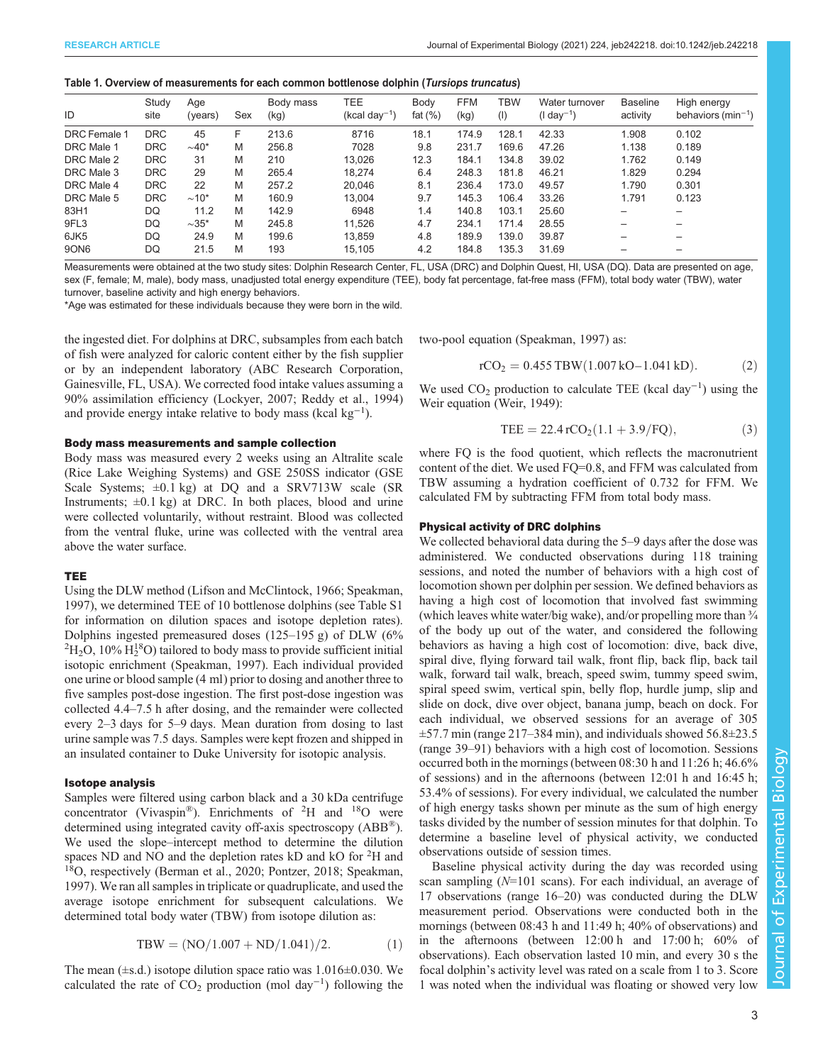#### <span id="page-2-0"></span>Table 1. Overview of measurements for each common bottlenose dolphin (Tursiops truncatus)

| ID                  | Study<br>site | Age<br>(years)         | Sex | Body mass<br>(kg) | TEE<br>$(kcal day-1)$ | Body<br>fat $(\% )$ | <b>FFM</b><br>(kg) | <b>TBW</b><br>(1) | Water turnover<br>(I day <sup>-1</sup> ) | <b>Baseline</b><br>activity | High energy<br>behaviors ( $min^{-1}$ ) |
|---------------------|---------------|------------------------|-----|-------------------|-----------------------|---------------------|--------------------|-------------------|------------------------------------------|-----------------------------|-----------------------------------------|
| <b>DRC</b> Female 1 | <b>DRC</b>    | 45                     | F   | 213.6             | 8716                  | 18.1                | 174.9              | 128.1             | 42.33                                    | .908                        | 0.102                                   |
| DRC Male 1          | <b>DRC</b>    | $\sim$ 40*             | M   | 256.8             | 7028                  | 9.8                 | 231.7              | 169.6             | 47.26                                    | 1.138                       | 0.189                                   |
| DRC Male 2          | <b>DRC</b>    | 31                     | M   | 210               | 13.026                | 12.3                | 184.1              | 134.8             | 39.02                                    | 1.762                       | 0.149                                   |
| DRC Male 3          | <b>DRC</b>    | 29                     | M   | 265.4             | 18.274                | 6.4                 | 248.3              | 181.8             | 46.21                                    | 1.829                       | 0.294                                   |
| DRC Male 4          | <b>DRC</b>    | 22                     | M   | 257.2             | 20,046                | 8.1                 | 236.4              | 173.0             | 49.57                                    | 1.790                       | 0.301                                   |
| DRC Male 5          | <b>DRC</b>    | $\sim$ 10 <sup>*</sup> | M   | 160.9             | 13.004                | 9.7                 | 145.3              | 106.4             | 33.26                                    | 1.791                       | 0.123                                   |
| 83H1                | DQ            | 11.2                   | M   | 142.9             | 6948                  | 1.4                 | 140.8              | 103.1             | 25.60                                    | $\overline{\phantom{m}}$    | -                                       |
| 9FL3                | DO            | $\sim$ 35*             | M   | 245.8             | 11.526                | 4.7                 | 234.1              | 171.4             | 28.55                                    | -                           | -                                       |
| 6JK5                | DQ            | 24.9                   | M   | 199.6             | 13.859                | 4.8                 | 189.9              | 139.0             | 39.87                                    | -                           | -                                       |
| <b>90N6</b>         | DQ            | 21.5                   | M   | 193               | 15.105                | 4.2                 | 184.8              | 135.3             | 31.69                                    | -                           |                                         |

Measurements were obtained at the two study sites: Dolphin Research Center, FL, USA (DRC) and Dolphin Quest, HI, USA (DQ). Data are presented on age, sex (F, female; M, male), body mass, unadjusted total energy expenditure (TEE), body fat percentage, fat-free mass (FFM), total body water (TBW), water turnover, baseline activity and high energy behaviors.

\*Age was estimated for these individuals because they were born in the wild.

the ingested diet. For dolphins at DRC, subsamples from each batch of fish were analyzed for caloric content either by the fish supplier or by an independent laboratory (ABC Research Corporation, Gainesville, FL, USA). We corrected food intake values assuming a 90% assimilation efficiency ([Lockyer, 2007](#page-9-0); [Reddy et al., 1994\)](#page-10-0) and provide energy intake relative to body mass (kcal kg<sup>-1</sup>).

## Body mass measurements and sample collection

Body mass was measured every 2 weeks using an Altralite scale (Rice Lake Weighing Systems) and GSE 250SS indicator (GSE Scale Systems;  $\pm 0.1$  kg) at DQ and a SRV713W scale (SR Instruments;  $\pm 0.1$  kg) at DRC. In both places, blood and urine were collected voluntarily, without restraint. Blood was collected from the ventral fluke, urine was collected with the ventral area above the water surface.

## TEE

Using the DLW method ([Lifson and McClintock, 1966;](#page-9-0) [Speakman,](#page-10-0) [1997](#page-10-0)), we determined TEE of 10 bottlenose dolphins (see [Table S1](https://journals.biologists.com/jeb/article-lookup/DOI/10.1242/jeb.242218) for information on dilution spaces and isotope depletion rates). Dolphins ingested premeasured doses  $(125-195 \text{ g})$  of DLW  $(6\%$  $H_2O$ , 10%  $H_2^1$ <sup>8</sup>O) tailored to body mass to provide sufficient initial isotopic enrichment [\(Speakman, 1997](#page-10-0)). Each individual provided one urine or blood sample (4 ml) prior to dosing and another three to five samples post-dose ingestion. The first post-dose ingestion was collected 4.4–7.5 h after dosing, and the remainder were collected every 2–3 days for 5–9 days. Mean duration from dosing to last urine sample was 7.5 days. Samples were kept frozen and shipped in an insulated container to Duke University for isotopic analysis.

#### Isotope analysis

Samples were filtered using carbon black and a 30 kDa centrifuge concentrator (Vivaspin®). Enrichments of  ${}^{2}H$  and  ${}^{18}O$  were determined using integrated cavity off-axis spectroscopy (ABB®). We used the slope–intercept method to determine the dilution spaces ND and NO and the depletion rates kD and kO for <sup>2</sup>H and  $18$ O, respectively [\(Berman et al., 2020](#page-8-0); [Pontzer, 2018; Speakman,](#page-10-0) [1997](#page-10-0)). We ran all samples in triplicate or quadruplicate, and used the average isotope enrichment for subsequent calculations. We determined total body water (TBW) from isotope dilution as:

$$
TBW = (NO/1.007 + ND/1.041)/2.
$$
 (1)

The mean  $(\pm s.d.)$  isotope dilution space ratio was 1.016 $\pm$ 0.030. We calculated the rate of  $CO_2$  production (mol day<sup>-1</sup>) following the

two-pool equation ([Speakman, 1997](#page-10-0)) as:

$$
rCO2 = 0.455 TBW(1.007 kO-1.041 kD). \t(2)
$$

We used  $CO_2$  production to calculate TEE (kcal day<sup>-1</sup>) using the Weir equation ([Weir, 1949](#page-10-0)):

$$
TEE = 22.4 rCO2(1.1 + 3.9/FQ),
$$
 (3)

where FQ is the food quotient, which reflects the macronutrient content of the diet. We used FQ=0.8, and FFM was calculated from TBW assuming a hydration coefficient of 0.732 for FFM. We calculated FM by subtracting FFM from total body mass.

#### Physical activity of DRC dolphins

We collected behavioral data during the 5–9 days after the dose was administered. We conducted observations during 118 training sessions, and noted the number of behaviors with a high cost of locomotion shown per dolphin per session. We defined behaviors as having a high cost of locomotion that involved fast swimming (which leaves white water/big wake), and/or propelling more than  $\frac{3}{4}$ of the body up out of the water, and considered the following behaviors as having a high cost of locomotion: dive, back dive, spiral dive, flying forward tail walk, front flip, back flip, back tail walk, forward tail walk, breach, speed swim, tummy speed swim, spiral speed swim, vertical spin, belly flop, hurdle jump, slip and slide on dock, dive over object, banana jump, beach on dock. For each individual, we observed sessions for an average of 305  $\pm$ 57.7 min (range 217–384 min), and individuals showed 56.8 $\pm$ 23.5 (range 39–91) behaviors with a high cost of locomotion. Sessions occurred both in the mornings (between 08:30 h and 11:26 h; 46.6% of sessions) and in the afternoons (between 12:01 h and 16:45 h; 53.4% of sessions). For every individual, we calculated the number of high energy tasks shown per minute as the sum of high energy tasks divided by the number of session minutes for that dolphin. To determine a baseline level of physical activity, we conducted observations outside of session times.

Baseline physical activity during the day was recorded using scan sampling (N=101 scans). For each individual, an average of 17 observations (range 16–20) was conducted during the DLW measurement period. Observations were conducted both in the mornings (between 08:43 h and 11:49 h; 40% of observations) and in the afternoons (between 12:00 h and 17:00 h; 60% of observations). Each observation lasted 10 min, and every 30 s the focal dolphin's activity level was rated on a scale from 1 to 3. Score 1 was noted when the individual was floating or showed very low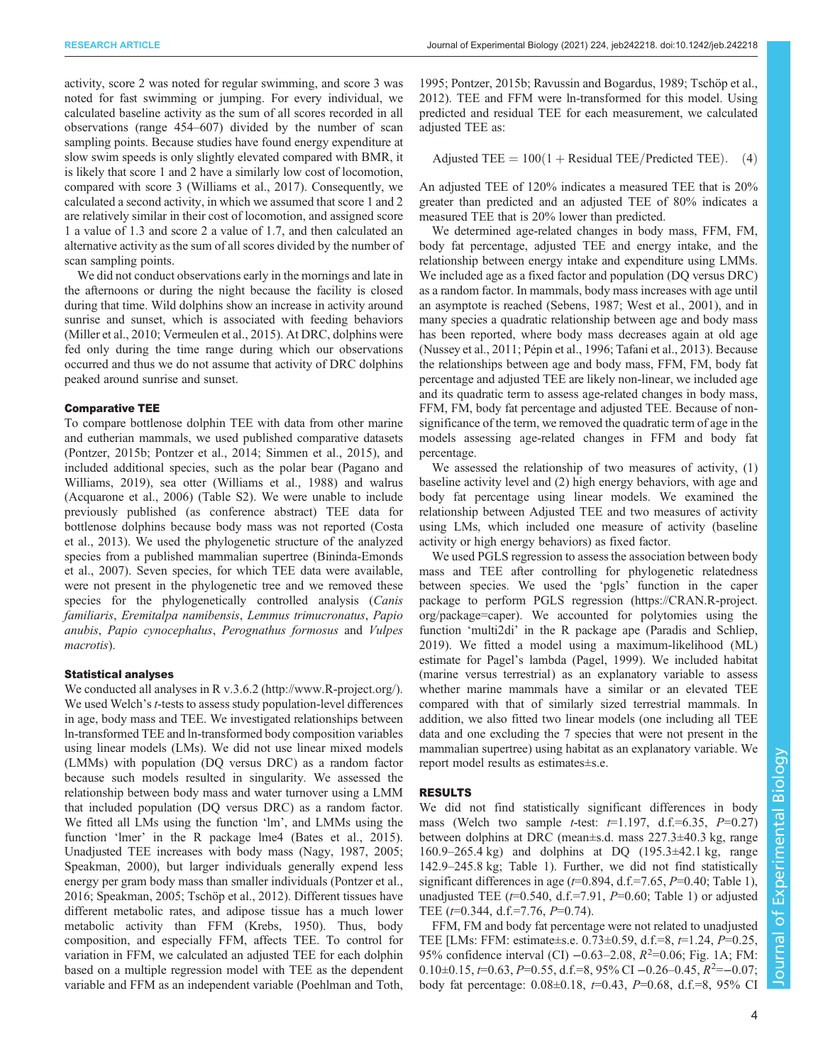activity, score 2 was noted for regular swimming, and score 3 was noted for fast swimming or jumping. For every individual, we calculated baseline activity as the sum of all scores recorded in all observations (range 454–607) divided by the number of scan sampling points. Because studies have found energy expenditure at slow swim speeds is only slightly elevated compared with BMR, it is likely that score 1 and 2 have a similarly low cost of locomotion, compared with score 3 [\(Williams et al., 2017](#page-11-0)). Consequently, we calculated a second activity, in which we assumed that score 1 and 2 are relatively similar in their cost of locomotion, and assigned score 1 a value of 1.3 and score 2 a value of 1.7, and then calculated an alternative activity as the sum of all scores divided by the number of scan sampling points.

We did not conduct observations early in the mornings and late in the afternoons or during the night because the facility is closed during that time. Wild dolphins show an increase in activity around sunrise and sunset, which is associated with feeding behaviors [\(Miller et al., 2010;](#page-9-0) [Vermeulen et al., 2015\)](#page-10-0). At DRC, dolphins were fed only during the time range during which our observations occurred and thus we do not assume that activity of DRC dolphins peaked around sunrise and sunset.

#### Comparative TEE

To compare bottlenose dolphin TEE with data from other marine and eutherian mammals, we used published comparative datasets [\(Pontzer, 2015b](#page-10-0); [Pontzer et al., 2014; Simmen et al., 2015](#page-10-0)), and included additional species, such as the polar bear ([Pagano and](#page-9-0) [Williams, 2019\)](#page-9-0), sea otter ([Williams et al., 1988](#page-10-0)) and walrus [\(Acquarone et al., 2006\)](#page-8-0) ([Table S2](https://journals.biologists.com/jeb/article-lookup/DOI/10.1242/jeb.242218)). We were unable to include previously published (as conference abstract) TEE data for bottlenose dolphins because body mass was not reported ([Costa](#page-8-0) [et al., 2013\)](#page-8-0). We used the phylogenetic structure of the analyzed species from a published mammalian supertree ([Bininda-Emonds](#page-8-0) [et al., 2007\)](#page-8-0). Seven species, for which TEE data were available, were not present in the phylogenetic tree and we removed these species for the phylogenetically controlled analysis (Canis familiaris, Eremitalpa namibensis, Lemmus trimucronatus, Papio anubis, Papio cynocephalus, Perognathus formosus and Vulpes macrotis).

#### Statistical analyses

We conducted all analyses in R v.3.6.2 ([http://www.R-project.org/\)](http://www.R-project.org/). We used Welch's *t*-tests to assess study population-level differences in age, body mass and TEE. We investigated relationships between ln-transformed TEE and ln-transformed body composition variables using linear models (LMs). We did not use linear mixed models (LMMs) with population (DQ versus DRC) as a random factor because such models resulted in singularity. We assessed the relationship between body mass and water turnover using a LMM that included population (DQ versus DRC) as a random factor. We fitted all LMs using the function 'lm', and LMMs using the function 'lmer' in the R package lme4 ([Bates et al., 2015\)](#page-8-0). Unadjusted TEE increases with body mass ([Nagy, 1987, 2005](#page-9-0); [Speakman, 2000\)](#page-10-0), but larger individuals generally expend less energy per gram body mass than smaller individuals [\(Pontzer et al.,](#page-10-0) [2016](#page-10-0); [Speakman, 2005; Tschöp et al., 2012](#page-10-0)). Different tissues have different metabolic rates, and adipose tissue has a much lower metabolic activity than FFM [\(Krebs, 1950](#page-9-0)). Thus, body composition, and especially FFM, affects TEE. To control for variation in FFM, we calculated an adjusted TEE for each dolphin based on a multiple regression model with TEE as the dependent variable and FFM as an independent variable ([Poehlman and Toth,](#page-10-0)

[1995; Pontzer, 2015b](#page-10-0); [Ravussin and Bogardus, 1989](#page-10-0); [Tschöp et al.,](#page-10-0) [2012\)](#page-10-0). TEE and FFM were ln-transformed for this model. Using predicted and residual TEE for each measurement, we calculated adjusted TEE as:

Adjusted TEE  $= 100(1 + \text{Residual} \text{TEE/Predicted} \text{TEE}).$  (4)

An adjusted TEE of 120% indicates a measured TEE that is 20% greater than predicted and an adjusted TEE of 80% indicates a measured TEE that is 20% lower than predicted.

We determined age-related changes in body mass, FFM, FM, body fat percentage, adjusted TEE and energy intake, and the relationship between energy intake and expenditure using LMMs. We included age as a fixed factor and population (DQ versus DRC) as a random factor. In mammals, body mass increases with age until an asymptote is reached ([Sebens, 1987; West et al., 2001](#page-10-0)), and in many species a quadratic relationship between age and body mass has been reported, where body mass decreases again at old age [\(Nussey et al., 2011](#page-9-0); [Pépin et al., 1996](#page-9-0); [Tafani et al., 2013](#page-10-0)). Because the relationships between age and body mass, FFM, FM, body fat percentage and adjusted TEE are likely non-linear, we included age and its quadratic term to assess age-related changes in body mass, FFM, FM, body fat percentage and adjusted TEE. Because of nonsignificance of the term, we removed the quadratic term of age in the models assessing age-related changes in FFM and body fat percentage.

We assessed the relationship of two measures of activity, (1) baseline activity level and (2) high energy behaviors, with age and body fat percentage using linear models. We examined the relationship between Adjusted TEE and two measures of activity using LMs, which included one measure of activity (baseline activity or high energy behaviors) as fixed factor.

We used PGLS regression to assess the association between body mass and TEE after controlling for phylogenetic relatedness between species. We used the 'pgls' function in the caper package to perform PGLS regression [\(https://CRAN.R-project.](https://CRAN.R-project.org/package=caper) [org/package=caper\)](https://CRAN.R-project.org/package=caper). We accounted for polytomies using the function 'multi2di' in the R package ape ([Paradis and Schliep,](#page-9-0) [2019\)](#page-9-0). We fitted a model using a maximum-likelihood (ML) estimate for Pagel's lambda ([Pagel, 1999](#page-9-0)). We included habitat (marine versus terrestrial) as an explanatory variable to assess whether marine mammals have a similar or an elevated TEE compared with that of similarly sized terrestrial mammals. In addition, we also fitted two linear models (one including all TEE data and one excluding the 7 species that were not present in the mammalian supertree) using habitat as an explanatory variable. We report model results as estimates±s.e.

#### RESULTS

We did not find statistically significant differences in body mass (Welch two sample *t*-test:  $t=1.197$ , d.f.=6.35,  $P=0.27$ ) between dolphins at DRC (mean±s.d. mass 227.3±40.3 kg, range 160.9–265.4 kg) and dolphins at DQ (195.3±42.1 kg, range 142.9–245.8 kg; [Table 1](#page-2-0)). Further, we did not find statistically significant differences in age  $(t=0.894, d.f.=7.65, P=0.40;$  [Table 1\)](#page-2-0), unadjusted TEE  $(t=0.540, d.f.=7.91, P=0.60;$  [Table 1](#page-2-0)) or adjusted TEE  $(t=0.344, d.f.=7.76, P=0.74)$ .

FFM, FM and body fat percentage were not related to unadjusted TEE [LMs: FFM: estimate±s.e. 0.73±0.59, d.f.=8, t=1.24, P=0.25, 95% confidence interval (CI)  $-0.63-2.08$ ,  $R^2=0.06$ ; [Fig. 1A](#page-4-0); FM:  $0.10\pm0.15$ ,  $t=0.63$ ,  $P=0.55$ , d.f.=8, 95% CI -0.26-0.45,  $R^2=-0.07$ ; body fat percentage:  $0.08\pm0.18$ ,  $t=0.43$ ,  $P=0.68$ , d.f.=8, 95% CI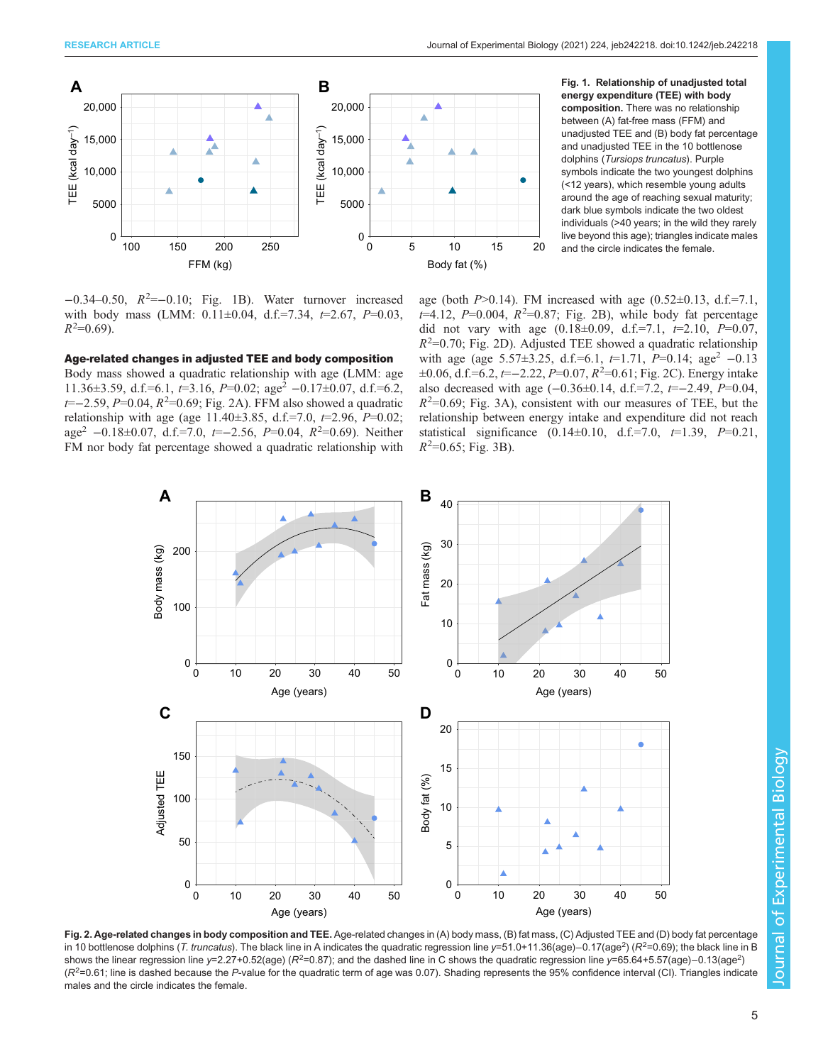<span id="page-4-0"></span>

−0.34–0.50, R<sup>2</sup> =−0.10; Fig. 1B). Water turnover increased with body mass (LMM:  $0.11 \pm 0.04$ , d.f.=7.34,  $t=2.67$ ,  $P=0.03$ ,  $R^2=0.69$ ).

## Age-related changes in adjusted TEE and body composition

Body mass showed a quadratic relationship with age (LMM: age 11.36±3.59, d.f.=6.1,  $t=3.16$ ,  $P=0.02$ ; age<sup>2</sup> −0.17±0.07, d.f.=6.2, t = -2.59, P = 0.04, R<sup>2</sup> = 0.69; Fig. 2A). FFM also showed a quadratic relationship with age (age  $11.40\pm3.85$ , d.f.=7.0,  $t=2.96$ ,  $P=0.02$ ; age<sup>2</sup> -0.18±0.07, d.f.=7.0, t=-2.56, P=0.04,  $R^2$ =0.69). Neither FM nor body fat percentage showed a quadratic relationship with

energy expenditure (TEE) with body composition. There was no relationship between (A) fat-free mass (FFM) and unadjusted TEE and (B) body fat percentage and unadjusted TEE in the 10 bottlenose dolphins (Tursiops truncatus). Purple symbols indicate the two youngest dolphins (<12 years), which resemble young adults around the age of reaching sexual maturity; dark blue symbols indicate the two oldest individuals (>40 years; in the wild they rarely live beyond this age); triangles indicate males and the circle indicates the female.

age (both  $P > 0.14$ ). FM increased with age (0.52 $\pm$ 0.13, d.f.=7.1,  $t=4.12$ ,  $P=0.004$ ,  $R^2=0.87$ ; Fig. 2B), while body fat percentage did not vary with age  $(0.18 \pm 0.09, d.f.=7.1, t=2.10, P=0.07,$  $R<sup>2</sup>=0.70$ ; Fig. 2D). Adjusted TEE showed a quadratic relationship with age (age 5.57±3.25, d.f.=6.1,  $t=1.71$ ,  $P=0.14$ ; age<sup>2</sup> -0.13 ±0.06, d.f.=6.2, t=−2.22, P=0.07, R<sup>2</sup>=0.61; Fig. 2C). Energy intake also decreased with age  $(-0.36\pm0.14, d.f.=7.2, t=-2.49, P=0.04,$  $R^2$ =0.69; [Fig. 3A](#page-5-0)), consistent with our measures of TEE, but the relationship between energy intake and expenditure did not reach statistical significance  $(0.14 \pm 0.10, d.f = 7.0, t = 1.39, P = 0.21,$  $R^2$ =0.65; [Fig. 3](#page-5-0)B).



Fig. 2. Age-related changes in body composition and TEE. Age-related changes in (A) body mass, (B) fat mass, (C) Adjusted TEE and (D) body fat percentage in 10 bottlenose dolphins (*T. truncatus*). The black line in A indicates the quadratic regression line *y*=51.0+11.36(age)–0.17(age<sup>2</sup>) (R<sup>2</sup>=0.69); the black line in B shows the linear regression line y=2.27+0.52(age) ( $R^2$ =0.87); and the dashed line in C shows the quadratic regression line y=65.64+5.57(age)–0.13(age<sup>2</sup>)  $(R^2=0.61;$  line is dashed because the P-value for the quadratic term of age was 0.07). Shading represents the 95% confidence interval (CI). Triangles indicate males and the circle indicates the female.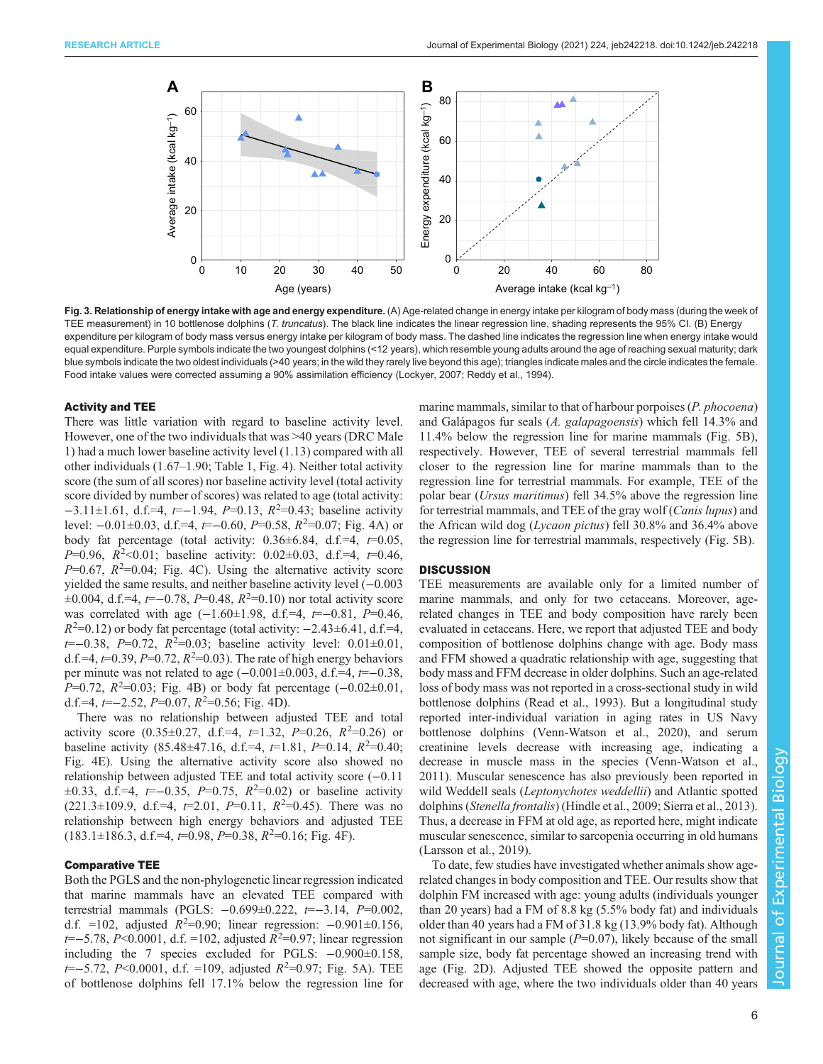<span id="page-5-0"></span>

Fig. 3. Relationship of energy intake with age and energy expenditure. (A) Age-related change in energy intake per kilogram of body mass (during the week of TEE measurement) in 10 bottlenose dolphins (T. truncatus). The black line indicates the linear regression line, shading represents the 95% CI. (B) Energy expenditure per kilogram of body mass versus energy intake per kilogram of body mass. The dashed line indicates the regression line when energy intake would equal expenditure. Purple symbols indicate the two youngest dolphins (<12 years), which resemble young adults around the age of reaching sexual maturity; dark blue symbols indicate the two oldest individuals (>40 years; in the wild they rarely live beyond this age); triangles indicate males and the circle indicates the female. Food intake values were corrected assuming a 90% assimilation efficiency ([Lockyer, 2007;](#page-9-0) [Reddy et al., 1994\)](#page-10-0).

#### Activity and TEE

There was little variation with regard to baseline activity level. However, one of the two individuals that was >40 years (DRC Male 1) had a much lower baseline activity level (1.13) compared with all other individuals (1.67–1.90; [Table 1](#page-2-0), [Fig. 4\)](#page-6-0). Neither total activity score (the sum of all scores) nor baseline activity level (total activity score divided by number of scores) was related to age (total activity:  $-3.11 \pm 1.61$ , d.f.=4,  $t=-1.94$ ,  $P=0.13$ ,  $R^2=0.43$ ; baseline activity level: -0.01±0.03, d.f.=4, t=-0.60, P=0.58, R<sup>2</sup>=0.07; [Fig. 4](#page-6-0)A) or body fat percentage (total activity:  $0.36 \pm 6.84$ , d.f.=4,  $t=0.05$ , P=0.96,  $R^2$  < 0.01; baseline activity: 0.02 ± 0.03, d.f. = 4, t=0.46,  $P=0.67$ ,  $R^2=0.04$ ; [Fig. 4](#page-6-0)C). Using the alternative activity score yielded the same results, and neither baseline activity level (−0.003  $\pm 0.004$ , d.f.=4, t=-0.78, P=0.48, R<sup>2</sup>=0.10) nor total activity score was correlated with age  $(-1.60 \pm 1.98, d.f.=4, t=-0.81, P=0.46,$  $R^2$ =0.12) or body fat percentage (total activity:  $-2.43\pm6.41$ , d.f.=4,  $t=-0.38$ ,  $P=0.72$ ,  $R^2=0.03$ ; baseline activity level:  $0.01\pm0.01$ , d.f.=4,  $t=0.39$ ,  $P=0.72$ ,  $R^2=0.03$ ). The rate of high energy behaviors per minute was not related to age  $(-0.001\pm0.003, d.f.=4, t=-0.38,$  $P=0.72$ ,  $R^2=0.03$ ; [Fig. 4B](#page-6-0)) or body fat percentage  $(-0.02\pm0.01,$ d.f.=4,  $t=-2.52$ ,  $P=0.07$ ,  $R^2=0.56$ ; [Fig. 4D](#page-6-0)).

There was no relationship between adjusted TEE and total activity score  $(0.35 \pm 0.27, d.f.=4, t=1.32, P=0.26, R^2=0.26)$  or baseline activity (85.48 $\pm$ 47.16, d.f.=4,  $t=1.81$ ,  $P=0.14$ ,  $R^2=0.40$ ; [Fig. 4E](#page-6-0)). Using the alternative activity score also showed no relationship between adjusted TEE and total activity score (−0.11  $\pm 0.33$ , d.f.=4,  $t=-0.35$ ,  $P=0.75$ ,  $R^2=0.02$ ) or baseline activity  $(221.3 \pm 109.9, d.f.=4, t=2.01, P=0.11, R^2=0.45)$ . There was no relationship between high energy behaviors and adjusted TEE  $(183.1 \pm 186.3, d.f.=4, t=0.98, P=0.38, R^2=0.16; Fig. 4F).$  $(183.1 \pm 186.3, d.f.=4, t=0.98, P=0.38, R^2=0.16; Fig. 4F).$  $(183.1 \pm 186.3, d.f.=4, t=0.98, P=0.38, R^2=0.16; Fig. 4F).$ 

#### Comparative TEE

Both the PGLS and the non-phylogenetic linear regression indicated that marine mammals have an elevated TEE compared with terrestrial mammals (PGLS: −0.699±0.222, t=−3.14, P=0.002, d.f. =102, adjusted  $R^2=0.90$ ; linear regression:  $-0.901\pm0.156$ ,  $t=-5.78, P<0.0001, d.f. =102, adjusted R<sup>2</sup>=0.97; linear regression$ including the 7 species excluded for PGLS: −0.900±0.158,  $t=-5.72$ , P<0.0001, d.f. =109, adjusted  $R^2=0.97$ ; [Fig. 5A](#page-7-0)). TEE of bottlenose dolphins fell 17.1% below the regression line for marine mammals, similar to that of harbour porpoises (P. phocoena) and Galápagos fur seals (A. galapagoensis) which fell 14.3% and 11.4% below the regression line for marine mammals ([Fig. 5](#page-7-0)B), respectively. However, TEE of several terrestrial mammals fell closer to the regression line for marine mammals than to the regression line for terrestrial mammals. For example, TEE of the polar bear (Ursus maritimus) fell 34.5% above the regression line for terrestrial mammals, and TEE of the gray wolf (Canis lupus) and the African wild dog (Lycaon pictus) fell 30.8% and 36.4% above the regression line for terrestrial mammals, respectively ([Fig. 5](#page-7-0)B).

#### **DISCUSSION**

TEE measurements are available only for a limited number of marine mammals, and only for two cetaceans. Moreover, agerelated changes in TEE and body composition have rarely been evaluated in cetaceans. Here, we report that adjusted TEE and body composition of bottlenose dolphins change with age. Body mass and FFM showed a quadratic relationship with age, suggesting that body mass and FFM decrease in older dolphins. Such an age-related loss of body mass was not reported in a cross-sectional study in wild bottlenose dolphins ([Read et al., 1993\)](#page-10-0). But a longitudinal study reported inter-individual variation in aging rates in US Navy bottlenose dolphins ([Venn-Watson et al., 2020\)](#page-10-0), and serum creatinine levels decrease with increasing age, indicating a decrease in muscle mass in the species [\(Venn-Watson et al.,](#page-10-0) [2011\)](#page-10-0). Muscular senescence has also previously been reported in wild Weddell seals (Leptonychotes weddellii) and Atlantic spotted dolphins (Stenella frontalis) [\(Hindle et al., 2009](#page-9-0); [Sierra et al., 2013\)](#page-10-0). Thus, a decrease in FFM at old age, as reported here, might indicate muscular senescence, similar to sarcopenia occurring in old humans [\(Larsson et al., 2019](#page-9-0)).

To date, few studies have investigated whether animals show agerelated changes in body composition and TEE. Our results show that dolphin FM increased with age: young adults (individuals younger than 20 years) had a FM of 8.8 kg (5.5% body fat) and individuals older than 40 years had a FM of 31.8 kg (13.9% body fat). Although not significant in our sample  $(P=0.07)$ , likely because of the small sample size, body fat percentage showed an increasing trend with age ([Fig. 2D](#page-4-0)). Adjusted TEE showed the opposite pattern and decreased with age, where the two individuals older than 40 years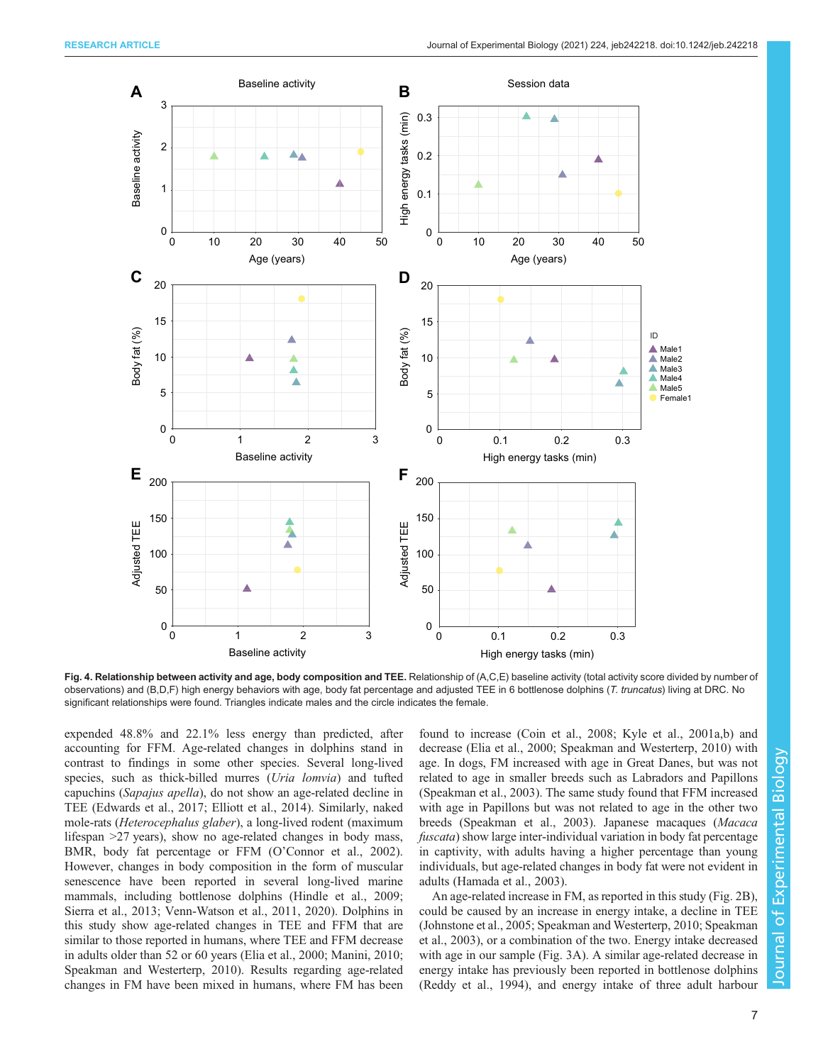<span id="page-6-0"></span>

Fig. 4. Relationship between activity and age, body composition and TEE. Relationship of (A,C,E) baseline activity (total activity score divided by number of observations) and (B,D,F) high energy behaviors with age, body fat percentage and adjusted TEE in 6 bottlenose dolphins (T. truncatus) living at DRC. No significant relationships were found. Triangles indicate males and the circle indicates the female.

expended 48.8% and 22.1% less energy than predicted, after accounting for FFM. Age-related changes in dolphins stand in contrast to findings in some other species. Several long-lived species, such as thick-billed murres (Uria lomvia) and tufted capuchins (Sapajus apella), do not show an age-related decline in TEE ([Edwards et al., 2017; Elliott et al., 2014](#page-9-0)). Similarly, naked mole-rats (Heterocephalus glaber), a long-lived rodent (maximum lifespan >27 years), show no age-related changes in body mass, BMR, body fat percentage or FFM (O'[Connor et al., 2002\)](#page-9-0). However, changes in body composition in the form of muscular senescence have been reported in several long-lived marine mammals, including bottlenose dolphins [\(Hindle et al., 2009](#page-9-0); [Sierra et al., 2013](#page-10-0); [Venn-Watson et al., 2011](#page-10-0), [2020](#page-10-0)). Dolphins in this study show age-related changes in TEE and FFM that are similar to those reported in humans, where TEE and FFM decrease in adults older than 52 or 60 years ([Elia et al., 2000](#page-9-0); [Manini, 2010](#page-9-0); [Speakman and Westerterp, 2010](#page-10-0)). Results regarding age-related changes in FM have been mixed in humans, where FM has been

found to increase ([Coin et al., 2008](#page-8-0); [Kyle et al., 2001a,b\)](#page-9-0) and decrease [\(Elia et al., 2000;](#page-9-0) [Speakman and Westerterp, 2010](#page-10-0)) with age. In dogs, FM increased with age in Great Danes, but was not related to age in smaller breeds such as Labradors and Papillons [\(Speakman et al., 2003](#page-10-0)). The same study found that FFM increased with age in Papillons but was not related to age in the other two breeds ([Speakman et al., 2003](#page-10-0)). Japanese macaques (Macaca fuscata) show large inter-individual variation in body fat percentage in captivity, with adults having a higher percentage than young individuals, but age-related changes in body fat were not evident in adults [\(Hamada et al., 2003\)](#page-9-0).

An age-related increase in FM, as reported in this study ([Fig. 2](#page-4-0)B), could be caused by an increase in energy intake, a decline in TEE [\(Johnstone et al., 2005](#page-9-0); [Speakman and Westerterp, 2010](#page-10-0); [Speakman](#page-10-0) [et al., 2003](#page-10-0)), or a combination of the two. Energy intake decreased with age in our sample ([Fig. 3](#page-5-0)A). A similar age-related decrease in energy intake has previously been reported in bottlenose dolphins [\(Reddy et al., 1994](#page-10-0)), and energy intake of three adult harbour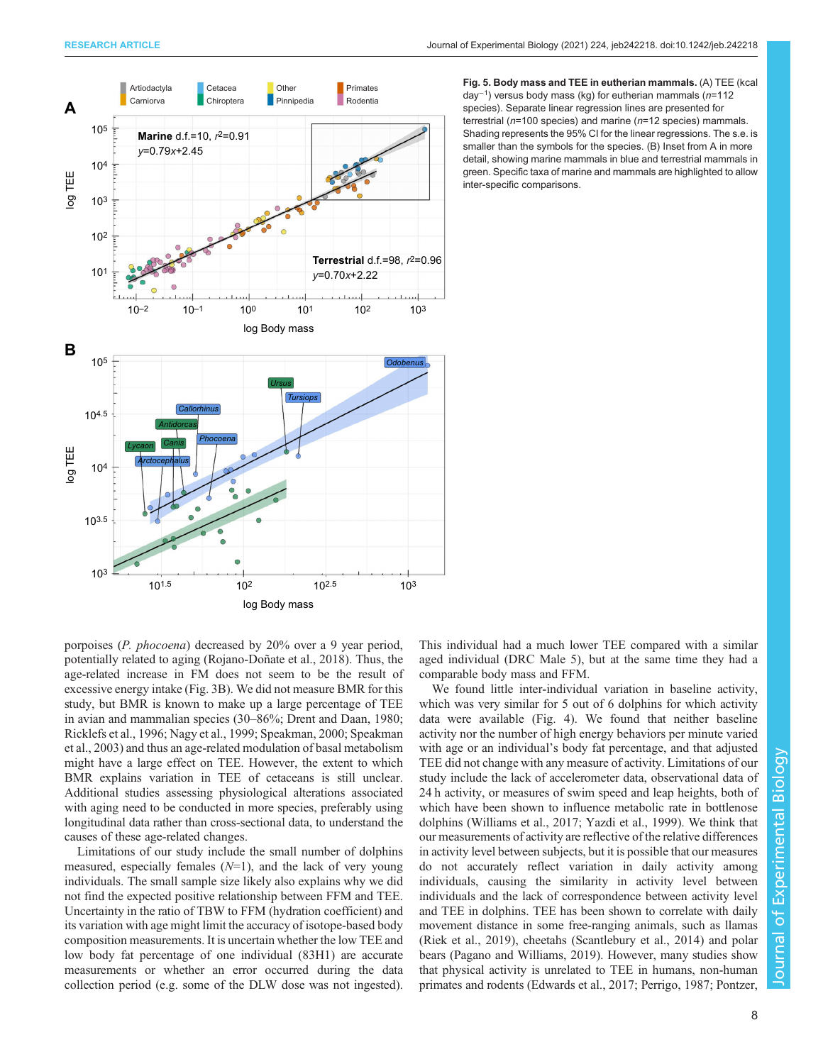<span id="page-7-0"></span>

Fig. 5. Body mass and TEE in eutherian mammals. (A) TEE (kcal day<sup>-1</sup>) versus body mass (kg) for eutherian mammals (n=112 species). Separate linear regression lines are presented for terrestrial ( $n=100$  species) and marine ( $n=12$  species) mammals. Shading represents the 95% CI for the linear regressions. The s.e. is smaller than the symbols for the species. (B) Inset from A in more detail, showing marine mammals in blue and terrestrial mammals in green. Specific taxa of marine and mammals are highlighted to allow inter-specific comparisons.

porpoises (P. phocoena) decreased by 20% over a 9 year period, potentially related to aging ([Rojano-Doñate et al., 2018\)](#page-10-0). Thus, the age-related increase in FM does not seem to be the result of excessive energy intake ([Fig. 3](#page-5-0)B). We did not measure BMR for this study, but BMR is known to make up a large percentage of TEE in avian and mammalian species (30–86%; [Drent and Daan, 1980](#page-8-0); [Ricklefs et al., 1996;](#page-10-0) [Nagy et al., 1999](#page-9-0); [Speakman, 2000](#page-10-0); [Speakman](#page-10-0) [et al., 2003\)](#page-10-0) and thus an age-related modulation of basal metabolism might have a large effect on TEE. However, the extent to which BMR explains variation in TEE of cetaceans is still unclear. Additional studies assessing physiological alterations associated with aging need to be conducted in more species, preferably using longitudinal data rather than cross-sectional data, to understand the causes of these age-related changes.

Limitations of our study include the small number of dolphins measured, especially females  $(N=1)$ , and the lack of very young individuals. The small sample size likely also explains why we did not find the expected positive relationship between FFM and TEE. Uncertainty in the ratio of TBW to FFM (hydration coefficient) and its variation with age might limit the accuracy of isotope-based body composition measurements. It is uncertain whether the low TEE and low body fat percentage of one individual (83H1) are accurate measurements or whether an error occurred during the data collection period (e.g. some of the DLW dose was not ingested).

This individual had a much lower TEE compared with a similar aged individual (DRC Male 5), but at the same time they had a comparable body mass and FFM.

We found little inter-individual variation in baseline activity, which was very similar for 5 out of 6 dolphins for which activity data were available [\(Fig. 4](#page-6-0)). We found that neither baseline activity nor the number of high energy behaviors per minute varied with age or an individual's body fat percentage, and that adjusted TEE did not change with any measure of activity. Limitations of our study include the lack of accelerometer data, observational data of 24 h activity, or measures of swim speed and leap heights, both of which have been shown to influence metabolic rate in bottlenose dolphins ([Williams et al., 2017; Yazdi et al., 1999](#page-11-0)). We think that our measurements of activity are reflective of the relative differences in activity level between subjects, but it is possible that our measures do not accurately reflect variation in daily activity among individuals, causing the similarity in activity level between individuals and the lack of correspondence between activity level and TEE in dolphins. TEE has been shown to correlate with daily movement distance in some free-ranging animals, such as llamas [\(Riek et al., 2019](#page-10-0)), cheetahs [\(Scantlebury et al., 2014\)](#page-10-0) and polar bears ([Pagano and Williams, 2019\)](#page-9-0). However, many studies show that physical activity is unrelated to TEE in humans, non-human primates and rodents [\(Edwards et al., 2017](#page-9-0); [Perrigo, 1987](#page-9-0); [Pontzer,](#page-10-0)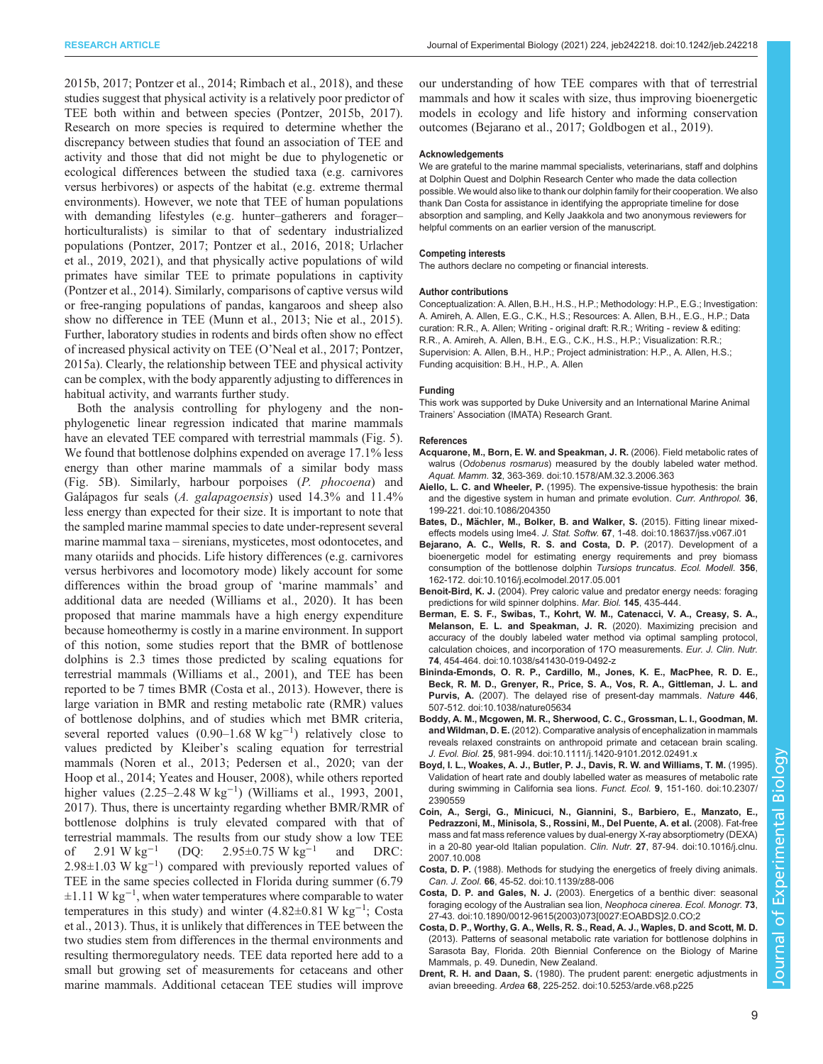<span id="page-8-0"></span>[2015b, 2017; Pontzer et al., 2014](#page-10-0); [Rimbach et al., 2018\)](#page-10-0), and these studies suggest that physical activity is a relatively poor predictor of TEE both within and between species [\(Pontzer, 2015b](#page-10-0), [2017\)](#page-10-0). Research on more species is required to determine whether the discrepancy between studies that found an association of TEE and activity and those that did not might be due to phylogenetic or ecological differences between the studied taxa (e.g. carnivores versus herbivores) or aspects of the habitat (e.g. extreme thermal environments). However, we note that TEE of human populations with demanding lifestyles (e.g. hunter–gatherers and forager– horticulturalists) is similar to that of sedentary industrialized populations ([Pontzer, 2017; Pontzer et al., 2016, 2018](#page-10-0); [Urlacher](#page-10-0) [et al., 2019, 2021](#page-10-0)), and that physically active populations of wild primates have similar TEE to primate populations in captivity [\(Pontzer et al., 2014\)](#page-10-0). Similarly, comparisons of captive versus wild or free-ranging populations of pandas, kangaroos and sheep also show no difference in TEE ([Munn et al., 2013](#page-9-0); [Nie et al., 2015\)](#page-9-0). Further, laboratory studies in rodents and birds often show no effect of increased physical activity on TEE (O'[Neal et al., 2017](#page-9-0); [Pontzer,](#page-10-0) [2015a](#page-10-0)). Clearly, the relationship between TEE and physical activity can be complex, with the body apparently adjusting to differences in habitual activity, and warrants further study.

Both the analysis controlling for phylogeny and the nonphylogenetic linear regression indicated that marine mammals have an elevated TEE compared with terrestrial mammals [\(Fig. 5\)](#page-7-0). We found that bottlenose dolphins expended on average 17.1% less energy than other marine mammals of a similar body mass [\(Fig. 5B](#page-7-0)). Similarly, harbour porpoises (P. phocoena) and Galápagos fur seals (A. galapagoensis) used 14.3% and 11.4% less energy than expected for their size. It is important to note that the sampled marine mammal species to date under-represent several marine mammal taxa – sirenians, mysticetes, most odontocetes, and many otariids and phocids. Life history differences (e.g. carnivores versus herbivores and locomotory mode) likely account for some differences within the broad group of 'marine mammals' and additional data are needed [\(Williams et al., 2020\)](#page-11-0). It has been proposed that marine mammals have a high energy expenditure because homeothermy is costly in a marine environment. In support of this notion, some studies report that the BMR of bottlenose dolphins is 2.3 times those predicted by scaling equations for terrestrial mammals ([Williams et al., 2001\)](#page-10-0), and TEE has been reported to be 7 times BMR (Costa et al., 2013). However, there is large variation in BMR and resting metabolic rate (RMR) values of bottlenose dolphins, and of studies which met BMR criteria, several reported values (0.90–1.68 W kg<sup>-1</sup>) relatively close to values predicted by Kleiber's scaling equation for terrestrial mammals ([Noren et al., 2013](#page-9-0); [Pedersen et al., 2020;](#page-9-0) [van der](#page-10-0) [Hoop et al., 2014](#page-10-0); [Yeates and Houser, 2008\)](#page-11-0), while others reported higher values (2.25–2.48 W kg−<sup>1</sup> ) ([Williams et al., 1993, 2001,](#page-10-0) [2017](#page-11-0)). Thus, there is uncertainty regarding whether BMR/RMR of bottlenose dolphins is truly elevated compared with that of terrestrial mammals. The results from our study show a low TEE of 2.91 W kg−<sup>1</sup> (DQ: 2.95±0.75 W kg−<sup>1</sup> and DRC: 2.98±1.03 W kg−<sup>1</sup> ) compared with previously reported values of TEE in the same species collected in Florida during summer (6.79 ±1.11 W kg−<sup>1</sup> , when water temperatures where comparable to water temperatures in this study) and winter (4.82±0.81 W kg−<sup>1</sup> ; Costa et al., 2013). Thus, it is unlikely that differences in TEE between the two studies stem from differences in the thermal environments and resulting thermoregulatory needs. TEE data reported here add to a small but growing set of measurements for cetaceans and other marine mammals. Additional cetacean TEE studies will improve

our understanding of how TEE compares with that of terrestrial mammals and how it scales with size, thus improving bioenergetic models in ecology and life history and informing conservation outcomes (Bejarano et al., 2017; [Goldbogen et al., 2019\)](#page-9-0).

#### Acknowledgements

We are grateful to the marine mammal specialists, veterinarians, staff and dolphins at Dolphin Quest and Dolphin Research Center who made the data collection possible. We would also like to thank our dolphin family for their cooperation. We also thank Dan Costa for assistance in identifying the appropriate timeline for dose absorption and sampling, and Kelly Jaakkola and two anonymous reviewers for helpful comments on an earlier version of the manuscript.

#### Competing interests

The authors declare no competing or financial interests.

#### Author contributions

Conceptualization: A. Allen, B.H., H.S., H.P.; Methodology: H.P., E.G.; Investigation: A. Amireh, A. Allen, E.G., C.K., H.S.; Resources: A. Allen, B.H., E.G., H.P.; Data curation: R.R., A. Allen; Writing - original draft: R.R.; Writing - review & editing: R.R., A. Amireh, A. Allen, B.H., E.G., C.K., H.S., H.P.; Visualization: R.R.; Supervision: A. Allen, B.H., H.P.; Project administration: H.P., A. Allen, H.S.; Funding acquisition: B.H., H.P., A. Allen

#### Funding

This work was supported by Duke University and an International Marine Animal Trainers' Association (IMATA) Research Grant.

#### References

- [Acquarone, M., Born, E. W. and Speakman, J. R.](https://doi.org/10.1578/AM.32.3.2006.363) (2006). Field metabolic rates of walrus (Odobenus rosmarus[\) measured by the doubly labeled water method.](https://doi.org/10.1578/AM.32.3.2006.363) Aquat. Mamm. 32[, 363-369. doi:10.1578/AM.32.3.2006.363](https://doi.org/10.1578/AM.32.3.2006.363)
- Aiello, L. C. and Wheeler, P. [\(1995\). The expensive-tissue hypothesis: the brain](https://doi.org/10.1086/204350) [and the digestive system in human and primate evolution.](https://doi.org/10.1086/204350) Curr. Anthropol. 36, [199-221. doi:10.1086/204350](https://doi.org/10.1086/204350)
- Bates, D., Mä[chler, M., Bolker, B. and Walker, S.](https://doi.org/10.18637/jss.v067.i01) (2015). Fitting linear mixedeffects models using lme4. J. Stat. Softw. 67[, 1-48. doi:10.18637/jss.v067.i01](https://doi.org/10.18637/jss.v067.i01)
- [Bejarano, A. C., Wells, R. S. and Costa, D. P.](https://doi.org/10.1016/j.ecolmodel.2017.05.001) (2017). Development of a [bioenergetic model for estimating energy requirements and prey biomass](https://doi.org/10.1016/j.ecolmodel.2017.05.001) [consumption of the bottlenose dolphin](https://doi.org/10.1016/j.ecolmodel.2017.05.001) Tursiops truncatus. Ecol. Modell. 356, [162-172. doi:10.1016/j.ecolmodel.2017.05.001](https://doi.org/10.1016/j.ecolmodel.2017.05.001)
- Benoit-Bird, K. J. (2004). Prey caloric value and predator energy needs: foraging predictions for wild spinner dolphins. Mar. Biol. 145, 435-444.
- [Berman, E. S. F., Swibas, T., Kohrt, W. M., Catenacci, V. A., Creasy, S. A.,](https://doi.org/10.1038/s41430-019-0492-z) [Melanson, E. L. and Speakman, J. R.](https://doi.org/10.1038/s41430-019-0492-z) (2020). Maximizing precision and [accuracy of the doubly labeled water method via optimal sampling protocol,](https://doi.org/10.1038/s41430-019-0492-z) [calculation choices, and incorporation of 17O measurements.](https://doi.org/10.1038/s41430-019-0492-z) Eur. J. Clin. Nutr. 74[, 454-464. doi:10.1038/s41430-019-0492-z](https://doi.org/10.1038/s41430-019-0492-z)
- [Bininda-Emonds, O. R. P., Cardillo, M., Jones, K. E., MacPhee, R. D. E.,](https://doi.org/10.1038/nature05634) [Beck, R. M. D., Grenyer, R., Price, S. A., Vos, R. A., Gittleman, J. L. and](https://doi.org/10.1038/nature05634) Purvis, A. [\(2007\). The delayed rise of present-day mammals.](https://doi.org/10.1038/nature05634) Nature 446, [507-512. doi:10.1038/nature05634](https://doi.org/10.1038/nature05634)
- [Boddy, A. M., Mcgowen, M. R., Sherwood, C. C., Grossman, L. I., Goodman, M.](https://doi.org/10.1111/j.1420-9101.2012.02491.x) and Wildman, D. E. [\(2012\). Comparative analysis of encephalization in mammals](https://doi.org/10.1111/j.1420-9101.2012.02491.x) [reveals relaxed constraints on anthropoid primate and cetacean brain scaling.](https://doi.org/10.1111/j.1420-9101.2012.02491.x) J. Evol. Biol. 25[, 981-994. doi:10.1111/j.1420-9101.2012.02491.x](https://doi.org/10.1111/j.1420-9101.2012.02491.x)
- [Boyd, I. L., Woakes, A. J., Butler, P. J., Davis, R. W. and Williams, T. M.](https://doi.org/10.2307/2390559) (1995). [Validation of heart rate and doubly labelled water as measures of metabolic rate](https://doi.org/10.2307/2390559) [during swimming in California sea lions.](https://doi.org/10.2307/2390559) Funct. Ecol. 9, 151-160. doi:10.2307/ [2390559](https://doi.org/10.2307/2390559)
- [Coin, A., Sergi, G., Minicuci, N., Giannini, S., Barbiero, E., Manzato, E.,](https://doi.org/10.1016/j.clnu.2007.10.008) [Pedrazzoni, M., Minisola, S., Rossini, M., Del Puente, A. et al.](https://doi.org/10.1016/j.clnu.2007.10.008) (2008). Fat-free [mass and fat mass reference values by dual-energy X-ray absorptiometry \(DEXA\)](https://doi.org/10.1016/j.clnu.2007.10.008) [in a 20-80 year-old Italian population.](https://doi.org/10.1016/j.clnu.2007.10.008) Clin. Nutr. 27, 87-94. doi:10.1016/j.clnu. [2007.10.008](https://doi.org/10.1016/j.clnu.2007.10.008)
- Costa, D. P. [\(1988\). Methods for studying the energetics of freely diving animals.](https://doi.org/10.1139/z88-006) Can. J. Zool. 66[, 45-52. doi:10.1139/z88-006](https://doi.org/10.1139/z88-006)
- Costa, D. P. and Gales, N. J. [\(2003\). Energetics of a benthic diver: seasonal](https://doi.org/10.1890/0012-9615(2003)073[0027:EOABDS]2.0.CO;2) [foraging ecology of the Australian sea lion,](https://doi.org/10.1890/0012-9615(2003)073[0027:EOABDS]2.0.CO;2) Neophoca cinerea. Ecol. Monogr. 73, [27-43. doi:10.1890/0012-9615\(2003\)073\[0027:EOABDS\]2.0.CO;2](https://doi.org/10.1890/0012-9615(2003)073[0027:EOABDS]2.0.CO;2)
- Costa, D. P., Worthy, G. A., Wells, R. S., Read, A. J., Waples, D. and Scott, M. D. (2013). Patterns of seasonal metabolic rate variation for bottlenose dolphins in Sarasota Bay, Florida. 20th Biennial Conference on the Biology of Marine Mammals, p. 49. Dunedin, New Zealand.
- Drent, R. H. and Daan, S. [\(1980\). The prudent parent: energetic adjustments in](https://doi.org/10.5253/arde.v68.p225) avian breeeding. Ardea 68[, 225-252. doi:10.5253/arde.v68.p225](https://doi.org/10.5253/arde.v68.p225)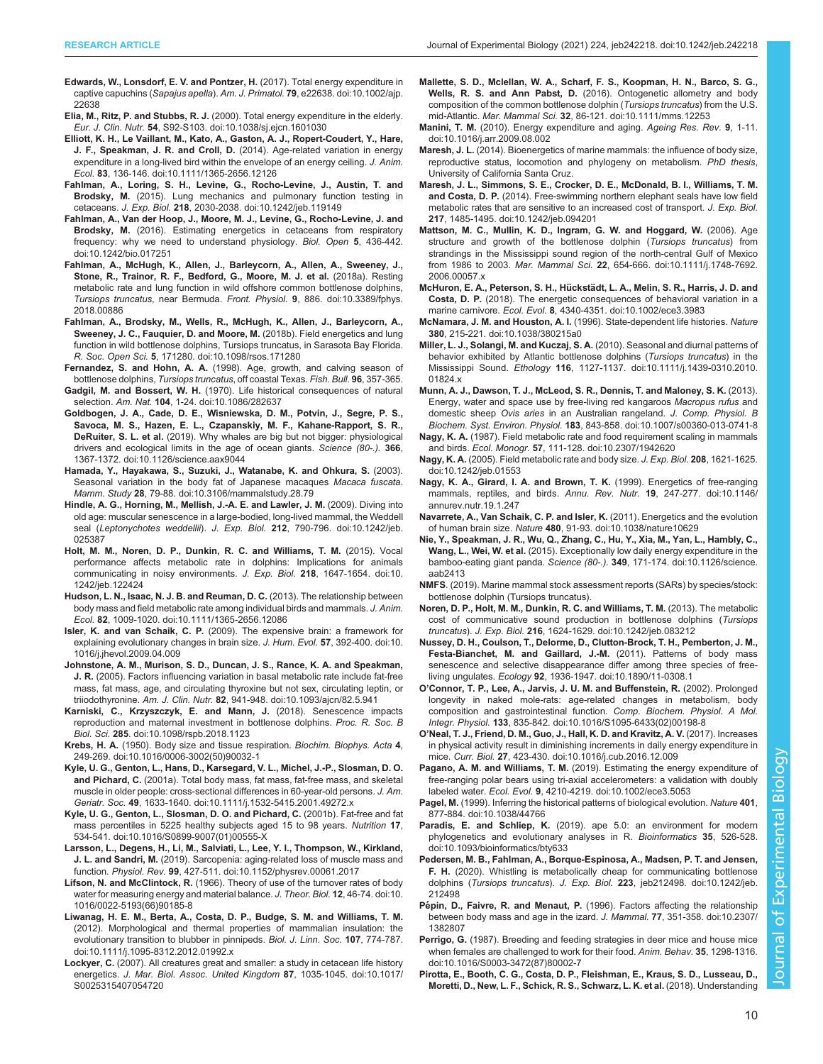- <span id="page-9-0"></span>[Edwards, W., Lonsdorf, E. V. and Pontzer, H.](https://doi.org/10.1002/ajp.22638) (2017). Total energy expenditure in captive capuchins (Sapajus apella). Am. J. Primatol. 79[, e22638. doi:10.1002/ajp.](https://doi.org/10.1002/ajp.22638) [22638](https://doi.org/10.1002/ajp.22638)
- Elia, M., Ritz, P. and Stubbs, R. J. [\(2000\). Total energy expenditure in the elderly.](https://doi.org/10.1038/sj.ejcn.1601030) Eur. J. Clin. Nutr. 54[, S92-S103. doi:10.1038/sj.ejcn.1601030](https://doi.org/10.1038/sj.ejcn.1601030)
- [Elliott, K. H., Le Vaillant, M., Kato, A., Gaston, A. J., Ropert-Coudert, Y., Hare,](https://doi.org/10.1111/1365-2656.12126) J. F., Speakman, J. R. and Croll, D. [\(2014\). Age-related variation in energy](https://doi.org/10.1111/1365-2656.12126) [expenditure in a long-lived bird within the envelope of an energy ceiling.](https://doi.org/10.1111/1365-2656.12126) J. Anim. Ecol. 83[, 136-146. doi:10.1111/1365-2656.12126](https://doi.org/10.1111/1365-2656.12126)
- [Fahlman, A., Loring, S. H., Levine, G., Rocho-Levine, J., Austin, T. and](https://doi.org/10.1242/jeb.119149) Brodsky, M. [\(2015\). Lung mechanics and pulmonary function testing in](https://doi.org/10.1242/jeb.119149) cetaceans. J. Exp. Biol. 218[, 2030-2038. doi:10.1242/jeb.119149](https://doi.org/10.1242/jeb.119149)
- [Fahlman, A., Van der Hoop, J., Moore, M. J., Levine, G., Rocho-Levine, J. and](https://doi.org/10.1242/bio.017251) Brodsky, M. [\(2016\). Estimating energetics in cetaceans from respiratory](https://doi.org/10.1242/bio.017251) [frequency: why we need to understand physiology.](https://doi.org/10.1242/bio.017251) Biol. Open 5, 436-442. [doi:10.1242/bio.017251](https://doi.org/10.1242/bio.017251)
- [Fahlman, A., McHugh, K., Allen, J., Barleycorn, A., Allen, A., Sweeney, J.,](https://doi.org/10.3389/fphys.2018.00886) [Stone, R., Trainor, R. F., Bedford, G., Moore, M. J. et al.](https://doi.org/10.3389/fphys.2018.00886) (2018a). Resting [metabolic rate and lung function in wild offshore common bottlenose dolphins,](https://doi.org/10.3389/fphys.2018.00886) Tursiops truncatus, near Bermuda. Front. Physiol. 9[, 886. doi:10.3389/fphys.](https://doi.org/10.3389/fphys.2018.00886) [2018.00886](https://doi.org/10.3389/fphys.2018.00886)
- [Fahlman, A., Brodsky, M., Wells, R., McHugh, K., Allen, J., Barleycorn, A.,](https://doi.org/10.1098/rsos.171280) [Sweeney, J. C., Fauquier, D. and Moore, M.](https://doi.org/10.1098/rsos.171280) (2018b). Field energetics and lung [function in wild bottlenose dolphins, Tursiops truncatus, in Sarasota Bay Florida.](https://doi.org/10.1098/rsos.171280) R. Soc. Open Sci. 5[, 171280. doi:10.1098/rsos.171280](https://doi.org/10.1098/rsos.171280)
- Fernandez, S. and Hohn, A. A. (1998). Age, growth, and calving season of bottlenose dolphins, Tursiops truncatus, off coastal Texas. Fish. Bull. 96, 357-365.
- Gadgil, M. and Bossert, W. H. [\(1970\). Life historical consequences of natural](https://doi.org/10.1086/282637) selection. Am. Nat. **104**[, 1-24. doi:10.1086/282637](https://doi.org/10.1086/282637)
- [Goldbogen, J. A., Cade, D. E., Wisniewska, D. M., Potvin, J., Segre, P. S.,](https://doi.org/10.1126/science.aax9044) [Savoca, M. S., Hazen, E. L., Czapanskiy, M. F., Kahane-Rapport, S. R.,](https://doi.org/10.1126/science.aax9044) DeRuiter, S. L. et al. [\(2019\). Why whales are big but not bigger: physiological](https://doi.org/10.1126/science.aax9044) [drivers and ecological limits in the age of ocean giants.](https://doi.org/10.1126/science.aax9044) Science (80-.). 366, [1367-1372. doi:10.1126/science.aax9044](https://doi.org/10.1126/science.aax9044)
- [Hamada, Y., Hayakawa, S., Suzuki, J., Watanabe, K. and Ohkura, S.](https://doi.org/10.3106/mammalstudy.28.79) (2003). [Seasonal variation in the body fat of Japanese macaques](https://doi.org/10.3106/mammalstudy.28.79) Macaca fuscata. Mamm. Study 28[, 79-88. doi:10.3106/mammalstudy.28.79](https://doi.org/10.3106/mammalstudy.28.79)
- [Hindle, A. G., Horning, M., Mellish, J.-A. E. and Lawler, J. M.](https://doi.org/10.1242/jeb.025387) (2009). Diving into [old age: muscular senescence in a large-bodied, long-lived mammal, the Weddell](https://doi.org/10.1242/jeb.025387) seal (Leptonychotes weddellii). J. Exp. Biol. 212[, 790-796. doi:10.1242/jeb.](https://doi.org/10.1242/jeb.025387) [025387](https://doi.org/10.1242/jeb.025387)
- [Holt, M. M., Noren, D. P., Dunkin, R. C. and Williams, T. M.](https://doi.org/10.1242/jeb.122424) (2015). Vocal [performance affects metabolic rate in dolphins: Implications for animals](https://doi.org/10.1242/jeb.122424) [communicating in noisy environments.](https://doi.org/10.1242/jeb.122424) J. Exp. Biol. 218, 1647-1654. doi:10. [1242/jeb.122424](https://doi.org/10.1242/jeb.122424)
- [Hudson, L. N., Isaac, N. J. B. and Reuman, D. C.](https://doi.org/10.1111/1365-2656.12086) (2013). The relationship between [body mass and field metabolic rate among individual birds and mammals.](https://doi.org/10.1111/1365-2656.12086) J. Anim. Ecol. 82[, 1009-1020. doi:10.1111/1365-2656.12086](https://doi.org/10.1111/1365-2656.12086)
- Isler, K. and van Schaik, C. P. [\(2009\). The expensive brain: a framework for](https://doi.org/10.1016/j.jhevol.2009.04.009) [explaining evolutionary changes in brain size.](https://doi.org/10.1016/j.jhevol.2009.04.009) J. Hum. Evol. 57, 392-400. doi:10. [1016/j.jhevol.2009.04.009](https://doi.org/10.1016/j.jhevol.2009.04.009)
- [Johnstone, A. M., Murison, S. D., Duncan, J. S., Rance, K. A. and Speakman,](https://doi.org/10.1093/ajcn/82.5.941) J. R. [\(2005\). Factors influencing variation in basal metabolic rate include fat-free](https://doi.org/10.1093/ajcn/82.5.941) [mass, fat mass, age, and circulating thyroxine but not sex, circulating leptin, or](https://doi.org/10.1093/ajcn/82.5.941) triiodothyronine. Am. J. Clin. Nutr. 82[, 941-948. doi:10.1093/ajcn/82.5.941](https://doi.org/10.1093/ajcn/82.5.941)
- [Karniski, C., Krzyszczyk, E. and Mann, J.](https://doi.org/10.1098/rspb.2018.1123) (2018). Senescence impacts [reproduction and maternal investment in bottlenose dolphins.](https://doi.org/10.1098/rspb.2018.1123) Proc. R. Soc. B Biol. Sci. 285[. doi:10.1098/rspb.2018.1123](https://doi.org/10.1098/rspb.2018.1123)
- Krebs, H. A. [\(1950\). Body size and tissue respiration.](https://doi.org/10.1016/0006-3002(50)90032-1) Biochim. Biophys. Acta 4, [249-269. doi:10.1016/0006-3002\(50\)90032-1](https://doi.org/10.1016/0006-3002(50)90032-1)
- [Kyle, U. G., Genton, L., Hans, D., Karsegard, V. L., Michel, J.-P., Slosman, D. O.](https://doi.org/10.1111/j.1532-5415.2001.49272.x) and Pichard, C. [\(2001a\). Total body mass, fat mass, fat-free mass, and skeletal](https://doi.org/10.1111/j.1532-5415.2001.49272.x) [muscle in older people: cross-sectional differences in 60-year-old persons.](https://doi.org/10.1111/j.1532-5415.2001.49272.x) J. Am. Geriatr. Soc. 49[, 1633-1640. doi:10.1111/j.1532-5415.2001.49272.x](https://doi.org/10.1111/j.1532-5415.2001.49272.x)
- [Kyle, U. G., Genton, L., Slosman, D. O. and Pichard, C.](https://doi.org/10.1016/S0899-9007(01)00555-X) (2001b). Fat-free and fat [mass percentiles in 5225 healthy subjects aged 15 to 98 years.](https://doi.org/10.1016/S0899-9007(01)00555-X) Nutrition 17, [534-541. doi:10.1016/S0899-9007\(01\)00555-X](https://doi.org/10.1016/S0899-9007(01)00555-X)
- [Larsson, L., Degens, H., Li, M., Salviati, L., Lee, Y. I., Thompson, W., Kirkland,](https://doi.org/10.1152/physrev.00061.2017) J. L. and Sandri, M. [\(2019\). Sarcopenia: aging-related loss of muscle mass and](https://doi.org/10.1152/physrev.00061.2017) function. Physiol. Rev. 99[, 427-511. doi:10.1152/physrev.00061.2017](https://doi.org/10.1152/physrev.00061.2017)
- Lifson, N. and McClintock, R. [\(1966\). Theory of use of the turnover rates of body](https://doi.org/10.1016/0022-5193(66)90185-8) [water for measuring energy and material balance.](https://doi.org/10.1016/0022-5193(66)90185-8) J. Theor. Biol. 12, 46-74, doi:10. [1016/0022-5193\(66\)90185-8](https://doi.org/10.1016/0022-5193(66)90185-8)
- [Liwanag, H. E. M., Berta, A., Costa, D. P., Budge, S. M. and Williams, T. M.](https://doi.org/10.1111/j.1095-8312.2012.01992.x) [\(2012\). Morphological and thermal properties of mammalian insulation: the](https://doi.org/10.1111/j.1095-8312.2012.01992.x) [evolutionary transition to blubber in pinnipeds.](https://doi.org/10.1111/j.1095-8312.2012.01992.x) Biol. J. Linn. Soc. 107, 774-787. [doi:10.1111/j.1095-8312.2012.01992.x](https://doi.org/10.1111/j.1095-8312.2012.01992.x)
- Lockyer, C. [\(2007\). All creatures great and smaller: a study in cetacean life history](https://doi.org/10.1017/S0025315407054720) energetics. [J. Mar. Biol. Assoc. United Kingdom](https://doi.org/10.1017/S0025315407054720) 87, 1035-1045. doi:10.1017/ [S0025315407054720](https://doi.org/10.1017/S0025315407054720)
- [Mallette, S. D., Mclellan, W. A., Scharf, F. S., Koopman, H. N., Barco, S. G.,](https://doi.org/10.1111/mms.12253) Wells, R. S. and Ann Pabst, D. [\(2016\). Ontogenetic allometry and body](https://doi.org/10.1111/mms.12253) [composition of the common bottlenose dolphin \(](https://doi.org/10.1111/mms.12253)Tursiops truncatus) from the U.S. mid-Atlantic. Mar. Mammal Sci. 32[, 86-121. doi:10.1111/mms.12253](https://doi.org/10.1111/mms.12253)
- Manini, T. M. [\(2010\). Energy expenditure and aging.](https://doi.org/10.1016/j.arr.2009.08.002) Ageing Res. Rev. 9, 1-11. [doi:10.1016/j.arr.2009.08.002](https://doi.org/10.1016/j.arr.2009.08.002)
- Maresh, J. L. (2014). Bioenergetics of marine mammals: the influence of body size, reproductive status, locomotion and phylogeny on metabolism. PhD thesis, University of California Santa Cruz.
- [Maresh, J. L., Simmons, S. E., Crocker, D. E., McDonald, B. I., Williams, T. M.](https://doi.org/10.1242/jeb.094201) and Costa, D. P. [\(2014\). Free-swimming northern elephant seals have low field](https://doi.org/10.1242/jeb.094201) [metabolic rates that are sensitive to an increased cost of transport.](https://doi.org/10.1242/jeb.094201) J. Exp. Biol. 217[, 1485-1495. doi:10.1242/jeb.094201](https://doi.org/10.1242/jeb.094201)
- [Mattson, M. C., Mullin, K. D., Ingram, G. W. and Hoggard, W.](https://doi.org/10.1111/j.1748-7692.2006.00057.x) (2006). Age [structure and growth of the bottlenose dolphin \(](https://doi.org/10.1111/j.1748-7692.2006.00057.x)Tursiops truncatus) from [strandings in the Mississippi sound region of the north-central Gulf of Mexico](https://doi.org/10.1111/j.1748-7692.2006.00057.x) from 1986 to 2003. Mar. Mammal Sci. 22[, 654-666. doi:10.1111/j.1748-7692.](https://doi.org/10.1111/j.1748-7692.2006.00057.x) [2006.00057.x](https://doi.org/10.1111/j.1748-7692.2006.00057.x)
- McHuron, E. A., Peterson, S. H., Hückstä[dt, L. A., Melin, S. R., Harris, J. D. and](https://doi.org/10.1002/ece3.3983) Costa, D. P. [\(2018\). The energetic consequences of behavioral variation in a](https://doi.org/10.1002/ece3.3983) marine carnivore. Ecol. Evol. 8[, 4340-4351. doi:10.1002/ece3.3983](https://doi.org/10.1002/ece3.3983)
- McNamara, J. M. and Houston, A. I. [\(1996\). State-dependent life histories.](https://doi.org/10.1038/380215a0) Nature 380[, 215-221. doi:10.1038/380215a0](https://doi.org/10.1038/380215a0)
- [Miller, L. J., Solangi, M. and Kuczaj, S. A.](https://doi.org/10.1111/j.1439-0310.2010.01824.x) (2010). Seasonal and diurnal patterns of [behavior exhibited by Atlantic bottlenose dolphins \(](https://doi.org/10.1111/j.1439-0310.2010.01824.x)Tursiops truncatus) in the Mississippi Sound. Ethology 116[, 1127-1137. doi:10.1111/j.1439-0310.2010.](https://doi.org/10.1111/j.1439-0310.2010.01824.x) [01824.x](https://doi.org/10.1111/j.1439-0310.2010.01824.x)
- [Munn, A. J., Dawson, T. J., McLeod, S. R., Dennis, T. and Maloney, S. K.](https://doi.org/10.1007/s00360-013-0741-8) (2013). [Energy, water and space use by free-living red kangaroos](https://doi.org/10.1007/s00360-013-0741-8) Macropus rufus and domestic sheep Ovis aries [in an Australian rangeland.](https://doi.org/10.1007/s00360-013-0741-8) J. Comp. Physiol. B Biochem. Syst. Environ. Physiol. 183[, 843-858. doi:10.1007/s00360-013-0741-8](https://doi.org/10.1007/s00360-013-0741-8)
- Nagy, K. A. [\(1987\). Field metabolic rate and food requirement scaling in mammals](https://doi.org/10.2307/1942620) and birds. Ecol. Monogr. 57[, 111-128. doi:10.2307/1942620](https://doi.org/10.2307/1942620)
- Nagy, K. A. [\(2005\). Field metabolic rate and body size.](https://doi.org/10.1242/jeb.01553) J. Exp. Biol. 208, 1621-1625. [doi:10.1242/jeb.01553](https://doi.org/10.1242/jeb.01553)
- [Nagy, K. A., Girard, I. A. and Brown, T. K.](https://doi.org/10.1146/annurev.nutr.19.1.247) (1999). Energetics of free-ranging [mammals, reptiles, and birds.](https://doi.org/10.1146/annurev.nutr.19.1.247) Annu. Rev. Nutr. 19, 247-277. doi:10.1146/ [annurev.nutr.19.1.247](https://doi.org/10.1146/annurev.nutr.19.1.247)
- [Navarrete, A., Van Schaik, C. P. and Isler, K.](https://doi.org/10.1038/nature10629) (2011). Energetics and the evolution of human brain size. Nature 480[, 91-93. doi:10.1038/nature10629](https://doi.org/10.1038/nature10629)
- [Nie, Y., Speakman, J. R., Wu, Q., Zhang, C., Hu, Y., Xia, M., Yan, L., Hambly, C.,](https://doi.org/10.1126/science.aab2413) Wang, L., Wei, W. et al. [\(2015\). Exceptionally low daily energy expenditure in the](https://doi.org/10.1126/science.aab2413) bamboo-eating giant panda. Science (80-.). 349[, 171-174. doi:10.1126/science.](https://doi.org/10.1126/science.aab2413) [aab2413](https://doi.org/10.1126/science.aab2413)
- NMFS. (2019). Marine mammal stock assessment reports (SARs) by species/stock: bottlenose dolphin (Tursiops truncatus).
- [Noren, D. P., Holt, M. M., Dunkin, R. C. and Williams, T. M.](https://doi.org/10.1242/jeb.083212) (2013). The metabolic [cost of communicative sound production in bottlenose dolphins \(](https://doi.org/10.1242/jeb.083212)Tursiops truncatus). J. Exp. Biol. 216[, 1624-1629. doi:10.1242/jeb.083212](https://doi.org/10.1242/jeb.083212)
- [Nussey, D. H., Coulson, T., Delorme, D., Clutton-Brock, T. H., Pemberton, J. M.,](https://doi.org/10.1890/11-0308.1) [Festa-Bianchet, M. and Gaillard, J.-M.](https://doi.org/10.1890/11-0308.1) (2011). Patterns of body mass [senescence and selective disappearance differ among three species of free](https://doi.org/10.1890/11-0308.1)living ungulates. Ecology 92[, 1936-1947. doi:10.1890/11-0308.1](https://doi.org/10.1890/11-0308.1)
- O'[Connor, T. P., Lee, A., Jarvis, J. U. M. and Buffenstein, R.](https://doi.org/10.1016/S1095-6433(02)00198-8) (2002). Prolonged [longevity in naked mole-rats: age-related changes in metabolism, body](https://doi.org/10.1016/S1095-6433(02)00198-8) [composition and gastrointestinal function.](https://doi.org/10.1016/S1095-6433(02)00198-8) Comp. Biochem. Physiol. A Mol. Integr. Physiol. 133[, 835-842. doi:10.1016/S1095-6433\(02\)00198-8](https://doi.org/10.1016/S1095-6433(02)00198-8)
- O'[Neal, T. J., Friend, D. M., Guo, J., Hall, K. D. and Kravitz, A. V.](https://doi.org/10.1016/j.cub.2016.12.009) (2017). Increases [in physical activity result in diminishing increments in daily energy expenditure in](https://doi.org/10.1016/j.cub.2016.12.009) mice. Curr. Biol. 27[, 423-430. doi:10.1016/j.cub.2016.12.009](https://doi.org/10.1016/j.cub.2016.12.009)
- Pagano, A. M. and Williams, T. M. [\(2019\). Estimating the energy expenditure of](https://doi.org/10.1002/ece3.5053) [free-ranging polar bears using tri-axial accelerometers: a validation with doubly](https://doi.org/10.1002/ece3.5053) labeled water. Ecol. Evol. 9[, 4210-4219. doi:10.1002/ece3.5053](https://doi.org/10.1002/ece3.5053)
- Pagel, M. [\(1999\). Inferring the historical patterns of biological evolution.](https://doi.org/10.1038/44766) Nature 401, [877-884. doi:10.1038/44766](https://doi.org/10.1038/44766)
- Paradis, E. and Schliep, K. [\(2019\). ape 5.0: an environment for modern](https://doi.org/10.1093/bioinformatics/bty633) [phylogenetics and evolutionary analyses in R.](https://doi.org/10.1093/bioinformatics/bty633) Bioinformatics 35, 526-528. [doi:10.1093/bioinformatics/bty633](https://doi.org/10.1093/bioinformatics/bty633)
- [Pedersen, M. B., Fahlman, A., Borque-Espinosa, A., Madsen, P. T. and Jensen,](https://doi.org/10.1242/jeb.212498) F. H. [\(2020\). Whistling is metabolically cheap for communicating bottlenose](https://doi.org/10.1242/jeb.212498) dolphins (Tursiops truncatus). J. Exp. Biol. 223[, jeb212498. doi:10.1242/jeb.](https://doi.org/10.1242/jeb.212498) [212498](https://doi.org/10.1242/jeb.212498)
- Pépin, D., Faivre, R. and Menaut, P. [\(1996\). Factors affecting the relationship](https://doi.org/10.2307/1382807) [between body mass and age in the izard.](https://doi.org/10.2307/1382807) J. Mammal. 77, 351-358. doi:10.2307/ [1382807](https://doi.org/10.2307/1382807)
- Perrigo, G. [\(1987\). Breeding and feeding strategies in deer mice and house mice](https://doi.org/10.1016/S0003-3472(87)80002-7) [when females are challenged to work for their food.](https://doi.org/10.1016/S0003-3472(87)80002-7) Anim. Behav. 35, 1298-1316. [doi:10.1016/S0003-3472\(87\)80002-7](https://doi.org/10.1016/S0003-3472(87)80002-7)
- [Pirotta, E., Booth, C. G., Costa, D. P., Fleishman, E., Kraus, S. D., Lusseau, D.,](https://doi.org/10.1002/ece3.4458) [Moretti, D., New, L. F., Schick, R. S., Schwarz, L. K. et al.](https://doi.org/10.1002/ece3.4458) (2018). Understanding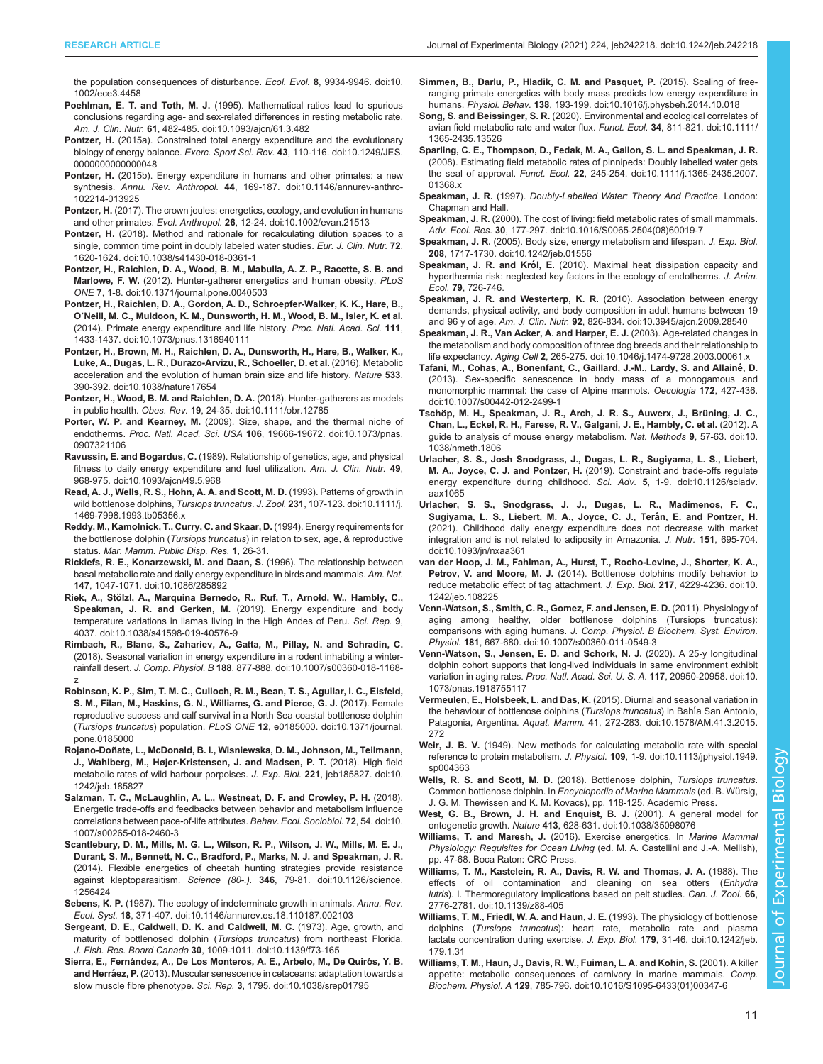<span id="page-10-0"></span>[the population consequences of disturbance.](https://doi.org/10.1002/ece3.4458) Ecol. Evol. 8, 9934-9946. doi:10. [1002/ece3.4458](https://doi.org/10.1002/ece3.4458)

- Poehlman, E. T. and Toth, M. J. [\(1995\). Mathematical ratios lead to spurious](https://doi.org/10.1093/ajcn/61.3.482) [conclusions regarding age- and sex-related differences in resting metabolic rate.](https://doi.org/10.1093/ajcn/61.3.482) Am. J. Clin. Nutr. 61[, 482-485. doi:10.1093/ajcn/61.3.482](https://doi.org/10.1093/ajcn/61.3.482)
- Pontzer, H. [\(2015a\). Constrained total energy expenditure and the evolutionary](https://doi.org/10.1249/JES.0000000000000048) biology of energy balance. Exerc. Sport Sci. Rev. 43[, 110-116. doi:10.1249/JES.](https://doi.org/10.1249/JES.0000000000000048) [0000000000000048](https://doi.org/10.1249/JES.0000000000000048)
- Pontzer, H. [\(2015b\). Energy expenditure in humans and other primates: a new](https://doi.org/10.1146/annurev-anthro-102214-013925) synthesis. Annu. Rev. Anthropol. 44[, 169-187. doi:10.1146/annurev-anthro-](https://doi.org/10.1146/annurev-anthro-102214-013925)[102214-013925](https://doi.org/10.1146/annurev-anthro-102214-013925)
- Pontzer, H. [\(2017\). The crown joules: energetics, ecology, and evolution in humans](https://doi.org/10.1002/evan.21513) and other primates. Evol. Anthropol. 26[, 12-24. doi:10.1002/evan.21513](https://doi.org/10.1002/evan.21513)
- Pontzer, H. [\(2018\). Method and rationale for recalculating dilution spaces to a](https://doi.org/10.1038/s41430-018-0361-1) [single, common time point in doubly labeled water studies.](https://doi.org/10.1038/s41430-018-0361-1) Eur. J. Clin. Nutr. 72, [1620-1624. doi:10.1038/s41430-018-0361-1](https://doi.org/10.1038/s41430-018-0361-1)
- [Pontzer, H., Raichlen, D. A., Wood, B. M., Mabulla, A. Z. P., Racette, S. B. and](https://doi.org/10.1371/journal.pone.0040503) Marlowe, F. W. [\(2012\). Hunter-gatherer energetics and human obesity.](https://doi.org/10.1371/journal.pone.0040503) PLoS ONE 7[, 1-8. doi:10.1371/journal.pone.0040503](https://doi.org/10.1371/journal.pone.0040503)
- [Pontzer, H., Raichlen, D. A., Gordon, A. D., Schroepfer-Walker, K. K., Hare, B.,](https://doi.org/10.1073/pnas.1316940111) O′[Neill, M. C., Muldoon, K. M., Dunsworth, H. M., Wood, B. M., Isler, K. et al.](https://doi.org/10.1073/pnas.1316940111) [\(2014\). Primate energy expenditure and life history.](https://doi.org/10.1073/pnas.1316940111) Proc. Natl. Acad. Sci. 111, [1433-1437. doi:10.1073/pnas.1316940111](https://doi.org/10.1073/pnas.1316940111)
- [Pontzer, H., Brown, M. H., Raichlen, D. A., Dunsworth, H., Hare, B., Walker, K.,](https://doi.org/10.1038/nature17654) [Luke, A., Dugas, L. R., Durazo-Arvizu, R., Schoeller, D. et al.](https://doi.org/10.1038/nature17654) (2016). Metabolic [acceleration and the evolution of human brain size and life history.](https://doi.org/10.1038/nature17654) Nature 533, [390-392. doi:10.1038/nature17654](https://doi.org/10.1038/nature17654)
- [Pontzer, H., Wood, B. M. and Raichlen, D. A.](https://doi.org/10.1111/obr.12785) (2018). Hunter-gatherers as models in public health. Obes. Rev. 19[, 24-35. doi:10.1111/obr.12785](https://doi.org/10.1111/obr.12785)
- Porter, W. P. and Kearney, M. [\(2009\). Size, shape, and the thermal niche of](https://doi.org/10.1073/pnas.0907321106) endotherms. Proc. Natl. Acad. Sci. USA 106[, 19666-19672. doi:10.1073/pnas.](https://doi.org/10.1073/pnas.0907321106) [0907321106](https://doi.org/10.1073/pnas.0907321106)
- Ravussin, E. and Bogardus, C. [\(1989\). Relationship of genetics, age, and physical](https://doi.org/10.1093/ajcn/49.5.968) [fitness to daily energy expenditure and fuel utilization.](https://doi.org/10.1093/ajcn/49.5.968) Am. J. Clin. Nutr. 49, [968-975. doi:10.1093/ajcn/49.5.968](https://doi.org/10.1093/ajcn/49.5.968)
- [Read, A. J., Wells, R. S., Hohn, A. A. and Scott, M. D.](https://doi.org/10.1111/j.1469-7998.1993.tb05356.x) (1993). Patterns of growth in [wild bottlenose dolphins,](https://doi.org/10.1111/j.1469-7998.1993.tb05356.x) Tursiops truncatus. J. Zool. 231, 107-123. doi:10.1111/j. [1469-7998.1993.tb05356.x](https://doi.org/10.1111/j.1469-7998.1993.tb05356.x)
- Reddy, M., Kamolnick, T., Curry, C. and Skaar, D. (1994). Energy requirements for the bottlenose dolphin (Tursiops truncatus) in relation to sex, age, & reproductive status. Mar. Mamm. Public Disp. Res. 1, 26-31.
- [Ricklefs, R. E., Konarzewski, M. and Daan, S.](https://doi.org/10.1086/285892) (1996). The relationship between [basal metabolic rate and daily energy expenditure in birds and mammals.](https://doi.org/10.1086/285892) Am. Nat. 147[, 1047-1071. doi:10.1086/285892](https://doi.org/10.1086/285892)
- Riek, A., Stö[lzl, A., Marquina Bernedo, R., Ruf, T., Arnold, W., Hambly, C.,](https://doi.org/10.1038/s41598-019-40576-9) Speakman, J. R. and Gerken, M. [\(2019\). Energy expenditure and body](https://doi.org/10.1038/s41598-019-40576-9) temperature variations in Ilamas living in the High Andes of Peru. Sci. Rep. 9, [4037. doi:10.1038/s41598-019-40576-9](https://doi.org/10.1038/s41598-019-40576-9)
- [Rimbach, R., Blanc, S., Zahariev, A., Gatta, M., Pillay, N. and Schradin, C.](https://doi.org/10.1007/s00360-018-1168-z) [\(2018\). Seasonal variation in energy expenditure in a rodent inhabiting a winter](https://doi.org/10.1007/s00360-018-1168-z)rainfall desert. J. Comp. Physiol. B 188[, 877-888. doi:10.1007/s00360-018-1168](https://doi.org/10.1007/s00360-018-1168-z) [z](https://doi.org/10.1007/s00360-018-1168-z)
- [Robinson, K. P., Sim, T. M. C., Culloch, R. M., Bean, T. S., Aguilar, I. C., Eisfeld,](https://doi.org/10.1371/journal.pone.0185000) [S. M., Filan, M., Haskins, G. N., Williams, G. and Pierce, G. J.](https://doi.org/10.1371/journal.pone.0185000) (2017). Female [reproductive success and calf survival in a North Sea coastal bottlenose dolphin](https://doi.org/10.1371/journal.pone.0185000) (Tursiops truncatus) population. PLoS ONE 12[, e0185000. doi:10.1371/journal.](https://doi.org/10.1371/journal.pone.0185000) [pone.0185000](https://doi.org/10.1371/journal.pone.0185000)
- Rojano-Doñ [ate, L., McDonald, B. I., Wisniewska, D. M., Johnson, M., Teilmann,](https://doi.org/10.1242/jeb.185827) [J., Wahlberg, M., Højer-Kristensen, J. and Madsen, P. T.](https://doi.org/10.1242/jeb.185827) (2018). High field [metabolic rates of wild harbour porpoises.](https://doi.org/10.1242/jeb.185827) J. Exp. Biol. 221, jeb185827. doi:10. [1242/jeb.185827](https://doi.org/10.1242/jeb.185827)
- [Salzman, T. C., McLaughlin, A. L., Westneat, D. F. and Crowley, P. H.](https://doi.org/10.1007/s00265-018-2460-3) (2018). [Energetic trade-offs and feedbacks between behavior and metabolism influence](https://doi.org/10.1007/s00265-018-2460-3) [correlations between pace-of-life attributes.](https://doi.org/10.1007/s00265-018-2460-3) Behav. Ecol. Sociobiol. 72, 54. doi:10. [1007/s00265-018-2460-3](https://doi.org/10.1007/s00265-018-2460-3)
- [Scantlebury, D. M., Mills, M. G. L., Wilson, R. P., Wilson, J. W., Mills, M. E. J.,](https://doi.org/10.1126/science.1256424) [Durant, S. M., Bennett, N. C., Bradford, P., Marks, N. J. and Speakman, J. R.](https://doi.org/10.1126/science.1256424) [\(2014\). Flexible energetics of cheetah hunting strategies provide resistance](https://doi.org/10.1126/science.1256424) against kleptoparasitism. Science (80-.). 346[, 79-81. doi:10.1126/science.](https://doi.org/10.1126/science.1256424) [1256424](https://doi.org/10.1126/science.1256424)
- Sebens, K. P. [\(1987\). The ecology of indeterminate growth in animals.](https://doi.org/10.1146/annurev.es.18.110187.002103) Annu. Rev. Ecol. Syst. 18[, 371-407. doi:10.1146/annurev.es.18.110187.002103](https://doi.org/10.1146/annurev.es.18.110187.002103)
- [Sergeant, D. E., Caldwell, D. K. and Caldwell, M. C.](https://doi.org/10.1139/f73-165) (1973). Age, growth, and [maturity of bottlenosed dolphin \(](https://doi.org/10.1139/f73-165)Tursiops truncatus) from northeast Florida. J. Fish. Res. Board Canada 30[, 1009-1011. doi:10.1139/f73-165](https://doi.org/10.1139/f73-165)
- Sierra, E., Fernández, A., De Los Monteros, A. E., Arbelo, M., De Quirós, Y. B. and Herráez, P. [\(2013\). Muscular senescence in cetaceans: adaptation towards a](https://doi.org/10.1038/srep01795) slow muscle fibre phenotype. Sci. Rep. 3[, 1795. doi:10.1038/srep01795](https://doi.org/10.1038/srep01795)
- [Simmen, B., Darlu, P., Hladik, C. M. and Pasquet, P.](https://doi.org/10.1016/j.physbeh.2014.10.018) (2015). Scaling of free[ranging primate energetics with body mass predicts low energy expenditure in](https://doi.org/10.1016/j.physbeh.2014.10.018) humans. Physiol. Behav. 138[, 193-199. doi:10.1016/j.physbeh.2014.10.018](https://doi.org/10.1016/j.physbeh.2014.10.018)
- Song, S. and Beissinger, S. R. [\(2020\). Environmental and ecological correlates of](https://doi.org/10.1111/1365-2435.13526) [avian field metabolic rate and water flux.](https://doi.org/10.1111/1365-2435.13526) Funct. Ecol. 34, 811-821. doi:10.1111/ [1365-2435.13526](https://doi.org/10.1111/1365-2435.13526)
- [Sparling, C. E., Thompson, D., Fedak, M. A., Gallon, S. L. and Speakman, J. R.](https://doi.org/10.1111/j.1365-2435.2007.01368.x) [\(2008\). Estimating field metabolic rates of pinnipeds: Doubly labelled water gets](https://doi.org/10.1111/j.1365-2435.2007.01368.x) the seal of approval. Funct. Ecol. 22[, 245-254. doi:10.1111/j.1365-2435.2007.](https://doi.org/10.1111/j.1365-2435.2007.01368.x) [01368.x](https://doi.org/10.1111/j.1365-2435.2007.01368.x)
- Speakman, J. R. (1997). Doubly-Labelled Water: Theory And Practice. London: Chapman and Hall.
- Speakman, J. R. [\(2000\). The cost of living: field metabolic rates of small mammals.](https://doi.org/10.1016/S0065-2504(08)60019-7) Adv. Ecol. Res. 30[, 177-297. doi:10.1016/S0065-2504\(08\)60019-7](https://doi.org/10.1016/S0065-2504(08)60019-7)
- Speakman, J. R. [\(2005\). Body size, energy metabolism and lifespan.](https://doi.org/10.1242/jeb.01556) J. Exp. Biol. 208[, 1717-1730. doi:10.1242/jeb.01556](https://doi.org/10.1242/jeb.01556)
- Speakman, J. R. and Król, E. (2010). Maximal heat dissipation capacity and hyperthermia risk: neglected key factors in the ecology of endotherms. J. Anim. Ecol. 79, 726-746.
- [Speakman, J. R. and Westerterp, K. R.](https://doi.org/10.3945/ajcn.2009.28540) (2010). Association between energy [demands, physical activity, and body composition in adult humans between 19](https://doi.org/10.3945/ajcn.2009.28540) and 96 y of age. Am. J. Clin. Nutr. 92[, 826-834. doi:10.3945/ajcn.2009.28540](https://doi.org/10.3945/ajcn.2009.28540)
- [Speakman, J. R., Van Acker, A. and Harper, E. J.](https://doi.org/10.1046/j.1474-9728.2003.00061.x) (2003). Age-related changes in [the metabolism and body composition of three dog breeds and their relationship to](https://doi.org/10.1046/j.1474-9728.2003.00061.x) life expectancy. Aging Cell 2[, 265-275. doi:10.1046/j.1474-9728.2003.00061.x](https://doi.org/10.1046/j.1474-9728.2003.00061.x)
- Tafani, M., Cohas, A., Bonenfant, C., Gaillard, J.-M., Lardy, S. and Allainé, D. [\(2013\). Sex-specific senescence in body mass of a monogamous and](https://doi.org/10.1007/s00442-012-2499-1) [monomorphic mammal: the case of Alpine marmots.](https://doi.org/10.1007/s00442-012-2499-1) Oecologia 172, 427-436. [doi:10.1007/s00442-012-2499-1](https://doi.org/10.1007/s00442-012-2499-1)
- Tschöp, M. H., Speakman, J. R., Arch, J. R. S., Auwerx, J., Brüning, J. C., [Chan, L., Eckel, R. H., Farese, R. V., Galgani, J. E., Hambly, C. et al.](https://doi.org/10.1038/nmeth.1806) (2012). A [guide to analysis of mouse energy metabolism.](https://doi.org/10.1038/nmeth.1806) Nat. Methods 9, 57-63. doi:10. [1038/nmeth.1806](https://doi.org/10.1038/nmeth.1806)
- [Urlacher, S. S., Josh Snodgrass, J., Dugas, L. R., Sugiyama, L. S., Liebert,](https://doi.org/10.1126/sciadv.aax1065) M. A., Joyce, C. J. and Pontzer, H. [\(2019\). Constraint and trade-offs regulate](https://doi.org/10.1126/sciadv.aax1065) [energy expenditure during childhood.](https://doi.org/10.1126/sciadv.aax1065) Sci. Adv. 5, 1-9. doi:10.1126/sciadv. [aax1065](https://doi.org/10.1126/sciadv.aax1065)
- [Urlacher, S. S., Snodgrass, J. J., Dugas, L. R., Madimenos, F. C.,](https://doi.org/10.1093/jn/nxaa361) Sugiyama, L. S., Liebert, M. A., Joyce, C. J., Terán, E. and Pontzer, H. [\(2021\). Childhood daily energy expenditure does not decrease with market](https://doi.org/10.1093/jn/nxaa361) [integration and is not related to adiposity in Amazonia.](https://doi.org/10.1093/jn/nxaa361) J. Nutr. 151, 695-704. [doi:10.1093/jn/nxaa361](https://doi.org/10.1093/jn/nxaa361)
- [van der Hoop, J. M., Fahlman, A., Hurst, T., Rocho-Levine, J., Shorter, K. A.,](https://doi.org/10.1242/jeb.108225) Petrov, V. and Moore, M. J. [\(2014\). Bottlenose dolphins modify behavior to](https://doi.org/10.1242/jeb.108225) [reduce metabolic effect of tag attachment.](https://doi.org/10.1242/jeb.108225) J. Exp. Biol. 217, 4229-4236. doi:10. [1242/jeb.108225](https://doi.org/10.1242/jeb.108225)
- [Venn-Watson, S., Smith, C. R., Gomez, F. and Jensen, E. D.](https://doi.org/10.1007/s00360-011-0549-3) (2011). Physiology of [aging among healthy, older bottlenose dolphins \(Tursiops truncatus\):](https://doi.org/10.1007/s00360-011-0549-3) comparisons with aging humans. [J. Comp. Physiol. B Biochem. Syst. Environ.](https://doi.org/10.1007/s00360-011-0549-3) Physiol. 181[, 667-680. doi:10.1007/s00360-011-0549-3](https://doi.org/10.1007/s00360-011-0549-3)
- [Venn-Watson, S., Jensen, E. D. and Schork, N. J.](https://doi.org/10.1073/pnas.1918755117) (2020). A 25-y longitudinal [dolphin cohort supports that long-lived individuals in same environment exhibit](https://doi.org/10.1073/pnas.1918755117) variation in aging rates. [Proc. Natl. Acad. Sci. U. S. A.](https://doi.org/10.1073/pnas.1918755117) 117, 20950-20958. doi:10. [1073/pnas.1918755117](https://doi.org/10.1073/pnas.1918755117)
- [Vermeulen, E., Holsbeek, L. and Das, K.](https://doi.org/10.1578/AM.41.3.2015.272) (2015). Diurnal and seasonal variation in [the behaviour of bottlenose dolphins \(](https://doi.org/10.1578/AM.41.3.2015.272)Tursiops truncatus) in Bahía San Antonio, Patagonia, Argentina. Aquat. Mamm. 41[, 272-283. doi:10.1578/AM.41.3.2015.](https://doi.org/10.1578/AM.41.3.2015.272) [272](https://doi.org/10.1578/AM.41.3.2015.272)
- Weir, J. B. V. [\(1949\). New methods for calculating metabolic rate with special](https://doi.org/10.1113/jphysiol.1949.sp004363) [reference to protein metabolism.](https://doi.org/10.1113/jphysiol.1949.sp004363) J. Physiol. 109, 1-9. doi:10.1113/jphysiol.1949. [sp004363](https://doi.org/10.1113/jphysiol.1949.sp004363)
- Wells, R. S. and Scott, M. D. (2018). Bottlenose dolphin, Tursiops truncatus. Common bottlenose dolphin. In Encyclopedia of Marine Mammals (ed. B. Würsig, J. G. M. Thewissen and K. M. Kovacs), pp. 118-125. Academic Press.
- [West, G. B., Brown, J. H. and Enquist, B. J.](https://doi.org/10.1038/35098076) (2001). A general model for ontogenetic growth. Nature 413[, 628-631. doi:10.1038/35098076](https://doi.org/10.1038/35098076)
- Williams, T. and Maresh, J. (2016). Exercise energetics. In Marine Mammal Physiology: Requisites for Ocean Living (ed. M. A. Castellini and J.-A. Mellish), pp. 47-68. Boca Raton: CRC Press.
- [Williams, T. M., Kastelein, R. A., Davis, R. W. and Thomas, J. A.](https://doi.org/10.1139/z88-405) (1988). The [effects of oil contamination and cleaning on sea otters \(](https://doi.org/10.1139/z88-405)Enhydra lutris[\). I. Thermoregulatory implications based on pelt studies.](https://doi.org/10.1139/z88-405) Can. J. Zool. 66, [2776-2781. doi:10.1139/z88-405](https://doi.org/10.1139/z88-405)
- [Williams, T. M., Friedl, W. A. and Haun, J. E.](https://doi.org/10.1242/jeb.179.1.31) (1993). The physiology of bottlenose dolphins (Tursiops truncatus[\): heart rate, metabolic rate and plasma](https://doi.org/10.1242/jeb.179.1.31) [lactate concentration during exercise.](https://doi.org/10.1242/jeb.179.1.31) J. Exp. Biol. 179, 31-46. doi:10.1242/jeb. [179.1.31](https://doi.org/10.1242/jeb.179.1.31)
- [Williams, T. M., Haun, J., Davis, R. W., Fuiman, L. A. and Kohin, S.](https://doi.org/10.1016/S1095-6433(01)00347-6) (2001). A killer [appetite: metabolic consequences of carnivory in marine mammals.](https://doi.org/10.1016/S1095-6433(01)00347-6) Comp. Biochem. Physiol. A 129[, 785-796. doi:10.1016/S1095-6433\(01\)00347-6](https://doi.org/10.1016/S1095-6433(01)00347-6)